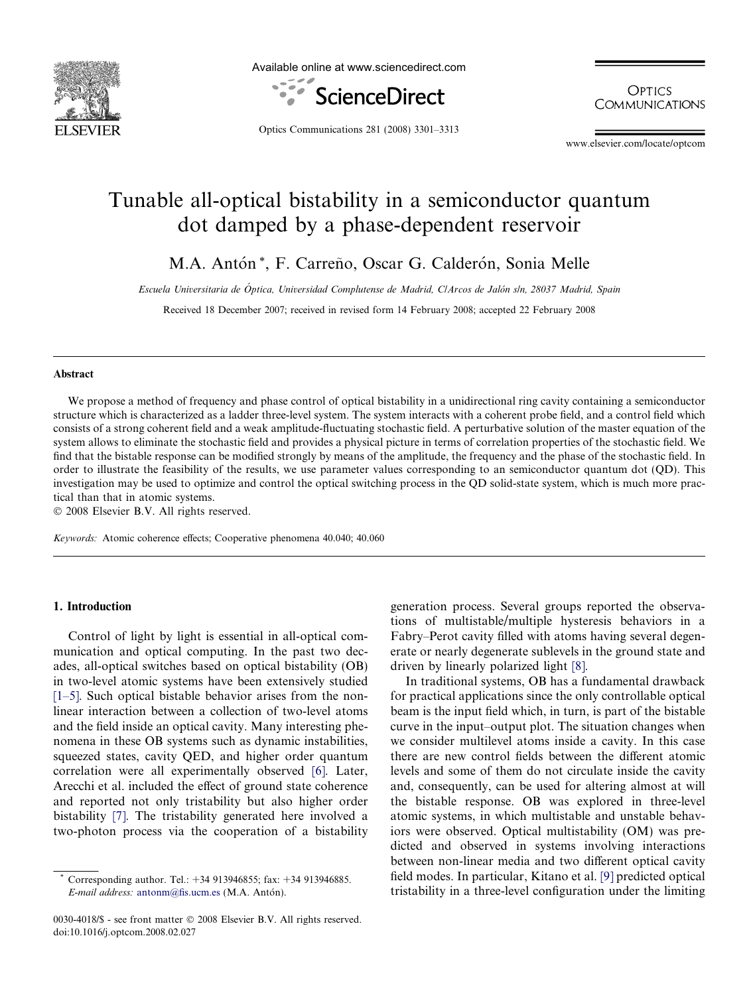

Available online at www.sciencedirect.com



**OPTICS COMMUNICATIONS** 

Optics Communications 281 (2008) 3301–3313

www.elsevier.com/locate/optcom

# Tunable all-optical bistability in a semiconductor quantum dot damped by a phase-dependent reservoir

M.A. Antón \*, F. Carreño, Oscar G. Calderón, Sonia Melle

Escuela Universitaria de Óptica, Universidad Complutense de Madrid, ClArcos de Jalón s/n, 28037 Madrid, Spain

Received 18 December 2007; received in revised form 14 February 2008; accepted 22 February 2008

## Abstract

We propose a method of frequency and phase control of optical bistability in a unidirectional ring cavity containing a semiconductor structure which is characterized as a ladder three-level system. The system interacts with a coherent probe field, and a control field which consists of a strong coherent field and a weak amplitude-fluctuating stochastic field. A perturbative solution of the master equation of the system allows to eliminate the stochastic field and provides a physical picture in terms of correlation properties of the stochastic field. We find that the bistable response can be modified strongly by means of the amplitude, the frequency and the phase of the stochastic field. In order to illustrate the feasibility of the results, we use parameter values corresponding to an semiconductor quantum dot (QD). This investigation may be used to optimize and control the optical switching process in the QD solid-state system, which is much more practical than that in atomic systems.

© 2008 Elsevier B.V. All rights reserved.

Keywords: Atomic coherence effects; Cooperative phenomena 40.040; 40.060

# 1. Introduction

Control of light by light is essential in all-optical communication and optical computing. In the past two decades, all-optical switches based on optical bistability (OB) in two-level atomic systems have been extensively studied [\[1–5\].](#page-11-0) Such optical bistable behavior arises from the nonlinear interaction between a collection of two-level atoms and the field inside an optical cavity. Many interesting phenomena in these OB systems such as dynamic instabilities, squeezed states, cavity QED, and higher order quantum correlation were all experimentally observed [\[6\]](#page-11-0). Later, Arecchi et al. included the effect of ground state coherence and reported not only tristability but also higher order bistability [\[7\]](#page-11-0). The tristability generated here involved a two-photon process via the cooperation of a bistability generation process. Several groups reported the observations of multistable/multiple hysteresis behaviors in a Fabry–Perot cavity filled with atoms having several degenerate or nearly degenerate sublevels in the ground state and driven by linearly polarized light [\[8\].](#page-11-0)

In traditional systems, OB has a fundamental drawback for practical applications since the only controllable optical beam is the input field which, in turn, is part of the bistable curve in the input–output plot. The situation changes when we consider multilevel atoms inside a cavity. In this case there are new control fields between the different atomic levels and some of them do not circulate inside the cavity and, consequently, can be used for altering almost at will the bistable response. OB was explored in three-level atomic systems, in which multistable and unstable behaviors were observed. Optical multistability (OM) was predicted and observed in systems involving interactions between non-linear media and two different optical cavity field modes. In particular, Kitano et al. [\[9\]](#page-11-0) predicted optical tristability in a three-level configuration under the limiting

Corresponding author. Tel.: +34 913946855; fax: +34 913946885.  $E$ -mail address: [antonm@fis.ucm.es](mailto:antonm@fis.ucm.es) (M.A. Antón).

<sup>0030-4018/\$ -</sup> see front matter © 2008 Elsevier B.V. All rights reserved. doi:10.1016/j.optcom.2008.02.027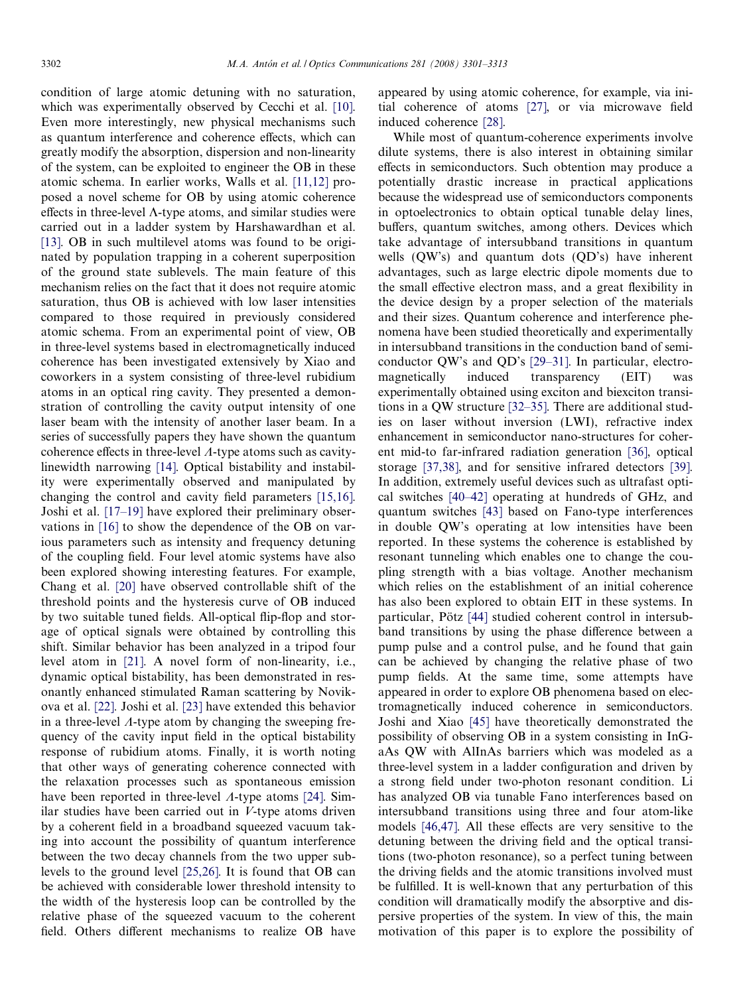condition of large atomic detuning with no saturation, which was experimentally observed by Cecchi et al. [\[10\]](#page-11-0). Even more interestingly, new physical mechanisms such as quantum interference and coherence effects, which can greatly modify the absorption, dispersion and non-linearity of the system, can be exploited to engineer the OB in these atomic schema. In earlier works, Walls et al. [\[11,12\]](#page-11-0) proposed a novel scheme for OB by using atomic coherence effects in three-level  $\Lambda$ -type atoms, and similar studies were carried out in a ladder system by Harshawardhan et al. [\[13\]](#page-11-0). OB in such multilevel atoms was found to be originated by population trapping in a coherent superposition of the ground state sublevels. The main feature of this mechanism relies on the fact that it does not require atomic saturation, thus OB is achieved with low laser intensities compared to those required in previously considered atomic schema. From an experimental point of view, OB in three-level systems based in electromagnetically induced coherence has been investigated extensively by Xiao and coworkers in a system consisting of three-level rubidium atoms in an optical ring cavity. They presented a demonstration of controlling the cavity output intensity of one laser beam with the intensity of another laser beam. In a series of successfully papers they have shown the quantum coherence effects in three-level  $\Lambda$ -type atoms such as cavitylinewidth narrowing [\[14\]](#page-11-0). Optical bistability and instability were experimentally observed and manipulated by changing the control and cavity field parameters [\[15,16\]](#page-11-0). Joshi et al. [\[17–19\]](#page-11-0) have explored their preliminary observations in [\[16\]](#page-11-0) to show the dependence of the OB on various parameters such as intensity and frequency detuning of the coupling field. Four level atomic systems have also been explored showing interesting features. For example, Chang et al. [\[20\]](#page-11-0) have observed controllable shift of the threshold points and the hysteresis curve of OB induced by two suitable tuned fields. All-optical flip-flop and storage of optical signals were obtained by controlling this shift. Similar behavior has been analyzed in a tripod four level atom in [\[21\]](#page-11-0). A novel form of non-linearity, i.e., dynamic optical bistability, has been demonstrated in resonantly enhanced stimulated Raman scattering by Novikova et al. [\[22\].](#page-11-0) Joshi et al. [\[23\]](#page-11-0) have extended this behavior in a three-level  $\Lambda$ -type atom by changing the sweeping frequency of the cavity input field in the optical bistability response of rubidium atoms. Finally, it is worth noting that other ways of generating coherence connected with the relaxation processes such as spontaneous emission have been reported in three-level  $\Lambda$ -type atoms [\[24\]](#page-11-0). Similar studies have been carried out in  $V$ -type atoms driven by a coherent field in a broadband squeezed vacuum taking into account the possibility of quantum interference between the two decay channels from the two upper sublevels to the ground level [\[25,26\].](#page-11-0) It is found that OB can be achieved with considerable lower threshold intensity to the width of the hysteresis loop can be controlled by the relative phase of the squeezed vacuum to the coherent field. Others different mechanisms to realize OB have

appeared by using atomic coherence, for example, via initial coherence of atoms [\[27\],](#page-11-0) or via microwave field induced coherence [\[28\].](#page-11-0)

While most of quantum-coherence experiments involve dilute systems, there is also interest in obtaining similar effects in semiconductors. Such obtention may produce a potentially drastic increase in practical applications because the widespread use of semiconductors components in optoelectronics to obtain optical tunable delay lines, buffers, quantum switches, among others. Devices which take advantage of intersubband transitions in quantum wells (QW's) and quantum dots (QD's) have inherent advantages, such as large electric dipole moments due to the small effective electron mass, and a great flexibility in the device design by a proper selection of the materials and their sizes. Quantum coherence and interference phenomena have been studied theoretically and experimentally in intersubband transitions in the conduction band of semiconductor QW's and QD's [\[29–31\]](#page-11-0). In particular, electromagnetically induced transparency (EIT) was experimentally obtained using exciton and biexciton transitions in a QW structure [\[32–35\].](#page-11-0) There are additional studies on laser without inversion (LWI), refractive index enhancement in semiconductor nano-structures for coherent mid-to far-infrared radiation generation [\[36\]](#page-11-0), optical storage [\[37,38\],](#page-11-0) and for sensitive infrared detectors [\[39\]](#page-11-0). In addition, extremely useful devices such as ultrafast optical switches [\[40–42\]](#page-11-0) operating at hundreds of GHz, and quantum switches [\[43\]](#page-11-0) based on Fano-type interferences in double QW's operating at low intensities have been reported. In these systems the coherence is established by resonant tunneling which enables one to change the coupling strength with a bias voltage. Another mechanism which relies on the establishment of an initial coherence has also been explored to obtain EIT in these systems. In particular, Pötz [\[44\]](#page-11-0) studied coherent control in intersubband transitions by using the phase difference between a pump pulse and a control pulse, and he found that gain can be achieved by changing the relative phase of two pump fields. At the same time, some attempts have appeared in order to explore OB phenomena based on electromagnetically induced coherence in semiconductors. Joshi and Xiao [\[45\]](#page-11-0) have theoretically demonstrated the possibility of observing OB in a system consisting in InGaAs QW with AlInAs barriers which was modeled as a three-level system in a ladder configuration and driven by a strong field under two-photon resonant condition. Li has analyzed OB via tunable Fano interferences based on intersubband transitions using three and four atom-like models [\[46,47\]](#page-12-0). All these effects are very sensitive to the detuning between the driving field and the optical transitions (two-photon resonance), so a perfect tuning between the driving fields and the atomic transitions involved must be fulfilled. It is well-known that any perturbation of this condition will dramatically modify the absorptive and dispersive properties of the system. In view of this, the main motivation of this paper is to explore the possibility of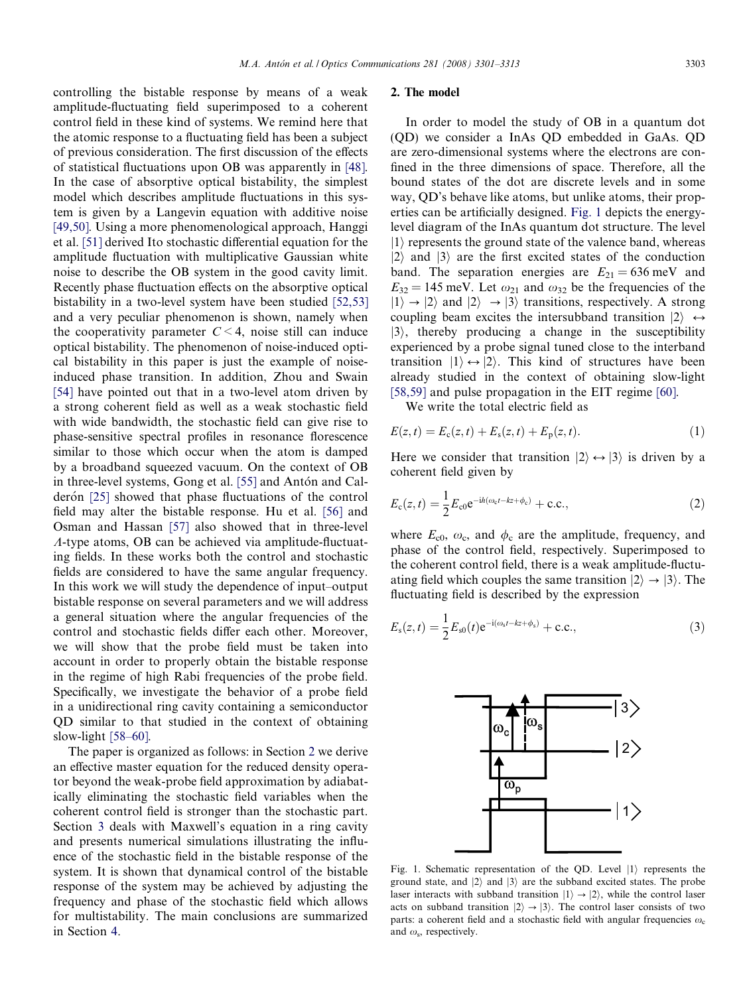<span id="page-2-0"></span>controlling the bistable response by means of a weak amplitude-fluctuating field superimposed to a coherent control field in these kind of systems. We remind here that the atomic response to a fluctuating field has been a subject of previous consideration. The first discussion of the effects of statistical fluctuations upon OB was apparently in [\[48\].](#page-12-0) In the case of absorptive optical bistability, the simplest model which describes amplitude fluctuations in this system is given by a Langevin equation with additive noise [\[49,50\].](#page-12-0) Using a more phenomenological approach, Hanggi et al. [\[51\]](#page-12-0) derived Ito stochastic differential equation for the amplitude fluctuation with multiplicative Gaussian white noise to describe the OB system in the good cavity limit. Recently phase fluctuation effects on the absorptive optical bistability in a two-level system have been studied [\[52,53\]](#page-12-0) and a very peculiar phenomenon is shown, namely when the cooperativity parameter  $C < 4$ , noise still can induce optical bistability. The phenomenon of noise-induced optical bistability in this paper is just the example of noiseinduced phase transition. In addition, Zhou and Swain [\[54\]](#page-12-0) have pointed out that in a two-level atom driven by a strong coherent field as well as a weak stochastic field with wide bandwidth, the stochastic field can give rise to phase-sensitive spectral profiles in resonance florescence similar to those which occur when the atom is damped by a broadband squeezed vacuum. On the context of OB in three-level systems, Gong et al. [\[55\]](#page-12-0) and Antón and Cal-derón [\[25\]](#page-11-0) showed that phase fluctuations of the control field may alter the bistable response. Hu et al. [\[56\]](#page-12-0) and Osman and Hassan [\[57\]](#page-12-0) also showed that in three-level  $\Lambda$ -type atoms, OB can be achieved via amplitude-fluctuating fields. In these works both the control and stochastic fields are considered to have the same angular frequency. In this work we will study the dependence of input–output bistable response on several parameters and we will address a general situation where the angular frequencies of the control and stochastic fields differ each other. Moreover, we will show that the probe field must be taken into account in order to properly obtain the bistable response in the regime of high Rabi frequencies of the probe field. Specifically, we investigate the behavior of a probe field in a unidirectional ring cavity containing a semiconductor QD similar to that studied in the context of obtaining slow-light [\[58–60\].](#page-12-0)

The paper is organized as follows: in Section 2 we derive an effective master equation for the reduced density operator beyond the weak-probe field approximation by adiabatically eliminating the stochastic field variables when the coherent control field is stronger than the stochastic part. Section [3](#page-5-0) deals with Maxwell's equation in a ring cavity and presents numerical simulations illustrating the influence of the stochastic field in the bistable response of the system. It is shown that dynamical control of the bistable response of the system may be achieved by adjusting the frequency and phase of the stochastic field which allows for multistability. The main conclusions are summarized in Section [4.](#page-8-0)

# 2. The model

In order to model the study of OB in a quantum dot (QD) we consider a InAs QD embedded in GaAs. QD are zero-dimensional systems where the electrons are confined in the three dimensions of space. Therefore, all the bound states of the dot are discrete levels and in some way, QD's behave like atoms, but unlike atoms, their properties can be artificially designed. Fig. 1 depicts the energylevel diagram of the InAs quantum dot structure. The level  $|1\rangle$  represents the ground state of the valence band, whereas  $|2\rangle$  and  $|3\rangle$  are the first excited states of the conduction band. The separation energies are  $E_{21} = 636$  meV and  $E_{32} = 145$  meV. Let  $\omega_{21}$  and  $\omega_{32}$  be the frequencies of the  $|1\rangle \rightarrow |2\rangle$  and  $|2\rangle \rightarrow |3\rangle$  transitions, respectively. A strong coupling beam excites the intersubband transition  $|2\rangle \leftrightarrow$  $|3\rangle$ , thereby producing a change in the susceptibility experienced by a probe signal tuned close to the interband transition  $|1\rangle \leftrightarrow |2\rangle$ . This kind of structures have been already studied in the context of obtaining slow-light [\[58,59\]](#page-12-0) and pulse propagation in the EIT regime [\[60\].](#page-12-0)

We write the total electric field as

$$
E(z,t) = E_c(z,t) + E_s(z,t) + E_p(z,t).
$$
 (1)

Here we consider that transition  $|2\rangle \leftrightarrow |3\rangle$  is driven by a coherent field given by

$$
E_{c}(z,t) = \frac{1}{2} E_{c0} e^{-ih(\omega_{c}t - kz + \phi_{c})} + \text{c.c.},
$$
\n(2)

where  $E_{c0}$ ,  $\omega_c$ , and  $\phi_c$  are the amplitude, frequency, and phase of the control field, respectively. Superimposed to the coherent control field, there is a weak amplitude-fluctuating field which couples the same transition  $|2\rangle \rightarrow |3\rangle$ . The fluctuating field is described by the expression

$$
E_{s}(z,t) = \frac{1}{2}E_{s0}(t)e^{-i(\omega_{s}t - kz + \phi_{s})} + \text{c.c.},
$$
\n(3)



Fig. 1. Schematic representation of the QD. Level  $|1\rangle$  represents the ground state, and  $|2\rangle$  and  $|3\rangle$  are the subband excited states. The probe laser interacts with subband transition  $|1\rangle \rightarrow |2\rangle$ , while the control laser acts on subband transition  $|2\rangle \rightarrow |3\rangle$ . The control laser consists of two parts: a coherent field and a stochastic field with angular frequencies  $\omega_c$ and  $\omega$ <sub>s</sub>, respectively.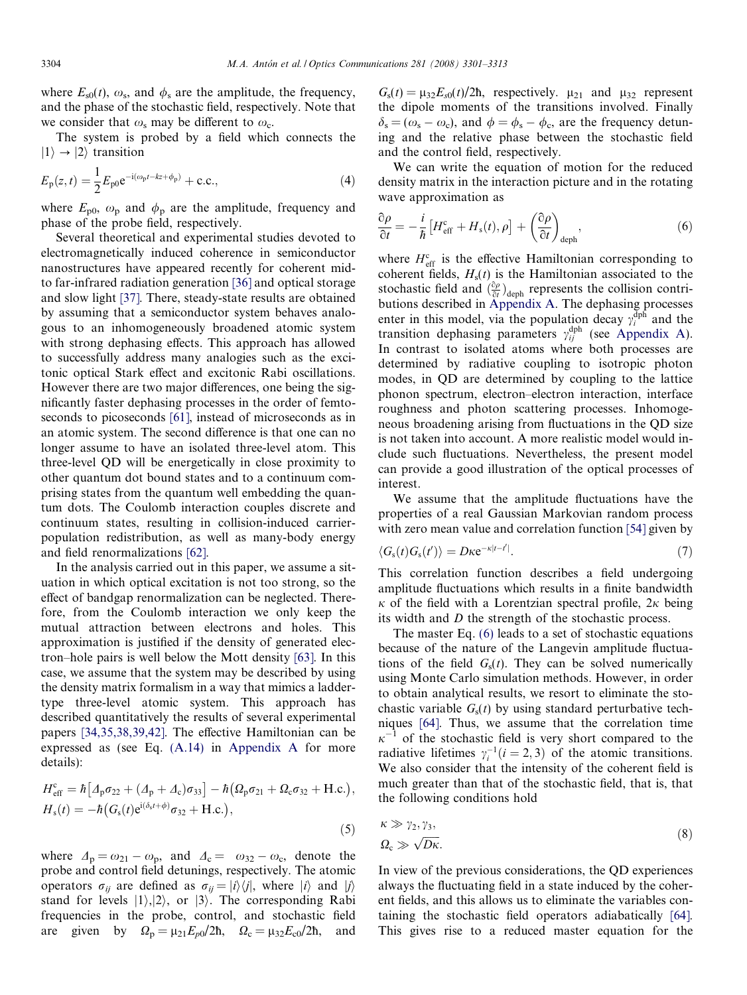<span id="page-3-0"></span>where  $E_{\rm s0}(t)$ ,  $\omega_{\rm s}$ , and  $\phi_{\rm s}$  are the amplitude, the frequency, and the phase of the stochastic field, respectively. Note that we consider that  $\omega_s$  may be different to  $\omega_c$ .

The system is probed by a field which connects the  $|1\rangle \rightarrow |2\rangle$  transition

$$
E_{\rm p}(z,t) = \frac{1}{2} E_{\rm p0} e^{-i(\omega_{\rm p}t - kz + \phi_{\rm p})} + \text{c.c.},\tag{4}
$$

where  $E_{\text{p0}}$ ,  $\omega_{\text{p}}$  and  $\phi_{\text{p}}$  are the amplitude, frequency and phase of the probe field, respectively.

Several theoretical and experimental studies devoted to electromagnetically induced coherence in semiconductor nanostructures have appeared recently for coherent midto far-infrared radiation generation [\[36\]](#page-11-0) and optical storage and slow light [\[37\]](#page-11-0). There, steady-state results are obtained by assuming that a semiconductor system behaves analogous to an inhomogeneously broadened atomic system with strong dephasing effects. This approach has allowed to successfully address many analogies such as the excitonic optical Stark effect and excitonic Rabi oscillations. However there are two major differences, one being the significantly faster dephasing processes in the order of femtoseconds to picoseconds [\[61\],](#page-12-0) instead of microseconds as in an atomic system. The second difference is that one can no longer assume to have an isolated three-level atom. This three-level QD will be energetically in close proximity to other quantum dot bound states and to a continuum comprising states from the quantum well embedding the quantum dots. The Coulomb interaction couples discrete and continuum states, resulting in collision-induced carrierpopulation redistribution, as well as many-body energy and field renormalizations [\[62\]](#page-12-0).

In the analysis carried out in this paper, we assume a situation in which optical excitation is not too strong, so the effect of bandgap renormalization can be neglected. Therefore, from the Coulomb interaction we only keep the mutual attraction between electrons and holes. This approximation is justified if the density of generated electron–hole pairs is well below the Mott density [\[63\].](#page-12-0) In this case, we assume that the system may be described by using the density matrix formalism in a way that mimics a laddertype three-level atomic system. This approach has described quantitatively the results of several experimental papers [\[34,35,38,39,42\]](#page-11-0). The effective Hamiltonian can be expressed as (see Eq. [\(A.14\)](#page-9-0) in Appendix A for more details):

$$
H_{\text{eff}}^{\text{c}} = \hbar \left[ \varDelta_{\text{p}} \sigma_{22} + (\varDelta_{\text{p}} + \varDelta_{\text{c}}) \sigma_{33} \right] - \hbar \left( \varOmega_{\text{p}} \sigma_{21} + \varOmega_{\text{c}} \sigma_{32} + \text{H.c.} \right),
$$
  
\n
$$
H_{\text{s}}(t) = -\hbar \left( G_{\text{s}}(t) e^{i(\delta_{\text{s}}t + \phi)} \sigma_{32} + \text{H.c.} \right),
$$
\n(5)

where  $\Delta_p = \omega_{21} - \omega_p$ , and  $\Delta_c = \omega_{32} - \omega_c$ , denote the probe and control field detunings, respectively. The atomic operators  $\sigma_{ij}$  are defined as  $\sigma_{ij} = |i\rangle\langle j|$ , where  $|i\rangle$  and  $|j\rangle$ stand for levels  $|1\rangle$ ,  $|2\rangle$ , or  $|3\rangle$ . The corresponding Rabi frequencies in the probe, control, and stochastic field are given by  $\Omega_p = \mu_{21} E_{p0}/2\hbar$ ,  $\Omega_c = \mu_{32} E_{c0}/2\hbar$ , and  $G_s(t) = \mu_{32}E_{s0}(t)/2\hbar$ , respectively.  $\mu_{21}$  and  $\mu_{32}$  represent the dipole moments of the transitions involved. Finally  $\delta_s = (\omega_s - \omega_c)$ , and  $\phi = \phi_s - \phi_c$ , are the frequency detuning and the relative phase between the stochastic field and the control field, respectively.

We can write the equation of motion for the reduced density matrix in the interaction picture and in the rotating wave approximation as

$$
\frac{\partial \rho}{\partial t} = -\frac{i}{\hbar} \left[ H_{\text{eff}}^{\text{c}} + H_{\text{s}}(t), \rho \right] + \left( \frac{\partial \rho}{\partial t} \right)_{\text{deph}},\tag{6}
$$

where  $H_{\text{eff}}^{\text{c}}$  is the effective Hamiltonian corresponding to coherent fields,  $H<sub>s</sub>(t)$  is the Hamiltonian associated to the stochastic field and  $\left(\frac{\partial \rho}{\partial t}\right)_{\text{deph}}$  represents the collision contributions described in Appendix A. The dephasing processes enter in this model, via the population decay  $\gamma_i^{\text{dpn}}$  and the transition dephasing parameters  $\gamma_{ij}^{\text{dph}}$  (see Appendix A). In contrast to isolated atoms where both processes are determined by radiative coupling to isotropic photon modes, in QD are determined by coupling to the lattice phonon spectrum, electron–electron interaction, interface roughness and photon scattering processes. Inhomogeneous broadening arising from fluctuations in the QD size is not taken into account. A more realistic model would include such fluctuations. Nevertheless, the present model can provide a good illustration of the optical processes of interest.

We assume that the amplitude fluctuations have the properties of a real Gaussian Markovian random process with zero mean value and correlation function [\[54\]](#page-12-0) given by

$$
\langle G_{\rm s}(t)G_{\rm s}(t')\rangle = D\kappa e^{-\kappa|t-t'|}.\tag{7}
$$

This correlation function describes a field undergoing amplitude fluctuations which results in a finite bandwidth  $\kappa$  of the field with a Lorentzian spectral profile,  $2\kappa$  being its width and D the strength of the stochastic process.

The master Eq. (6) leads to a set of stochastic equations because of the nature of the Langevin amplitude fluctuations of the field  $G_s(t)$ . They can be solved numerically using Monte Carlo simulation methods. However, in order to obtain analytical results, we resort to eliminate the stochastic variable  $G<sub>s</sub>(t)$  by using standard perturbative techniques [\[64\].](#page-12-0) Thus, we assume that the correlation time  $\kappa^$ of the stochastic field is very short compared to the radiative lifetimes  $\gamma_i^{-1}$  (*i* = 2, 3) of the atomic transitions. We also consider that the intensity of the coherent field is much greater than that of the stochastic field, that is, that the following conditions hold

$$
\kappa \gg \gamma_2, \gamma_3,
$$
  
\n
$$
\Omega_c \gg \sqrt{D\kappa}.
$$
\n(8)

In view of the previous considerations, the QD experiences always the fluctuating field in a state induced by the coherent fields, and this allows us to eliminate the variables containing the stochastic field operators adiabatically [\[64\]](#page-12-0). This gives rise to a reduced master equation for the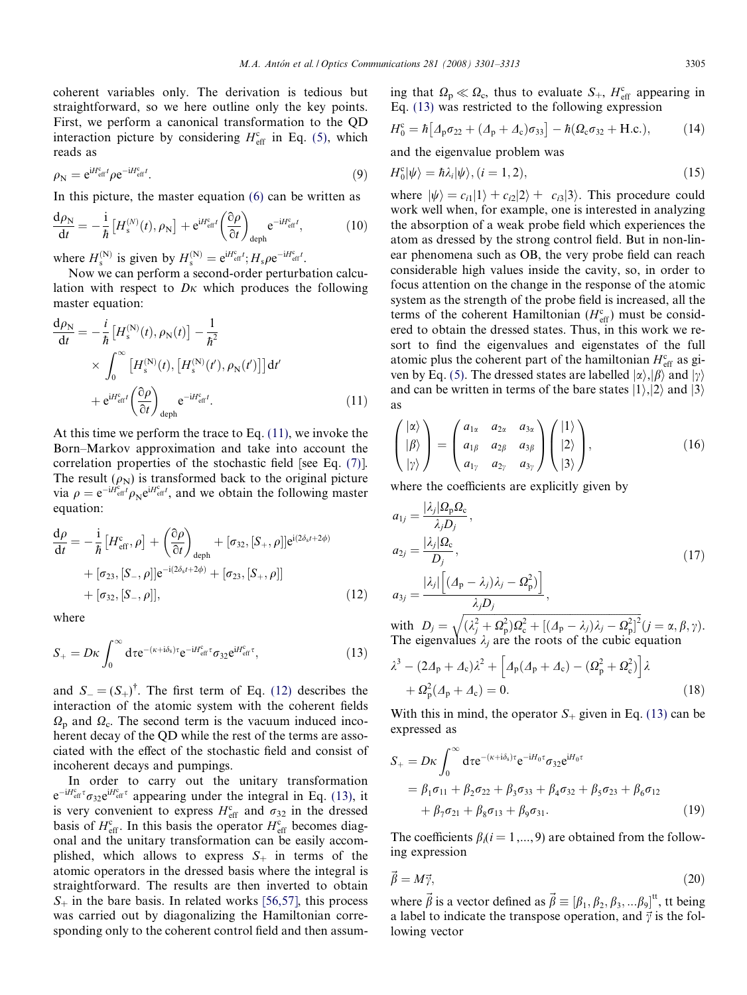<span id="page-4-0"></span>coherent variables only. The derivation is tedious but straightforward, so we here outline only the key points. First, we perform a canonical transformation to the QD interaction picture by considering  $H_{\text{eff}}^{\text{c}}$  in Eq. [\(5\)](#page-3-0), which reads as

$$
\rho_{\rm N} = e^{iH_{\rm eff}^{\rm c}t} \rho e^{-iH_{\rm eff}^{\rm c}t}.\tag{9}
$$

In this picture, the master equation [\(6\)](#page-3-0) can be written as

$$
\frac{d\rho_N}{dt} = -\frac{i}{\hbar} \left[ H_s^{(N)}(t), \rho_N \right] + e^{iH_{\text{eff}}^c t} \left( \frac{\partial \rho}{\partial t} \right)_{\text{deph}} e^{-iH_{\text{eff}}^c t},\tag{10}
$$

where  $H_s^{(N)}$  is given by  $H_s^{(N)} = e^{iH_{\text{eff}}^c t}$ ;  $H_s \rho e^{-iH_{\text{eff}}^c t}$ .

Now we can perform a second-order perturbation calculation with respect to  $D_K$  which produces the following master equation:

$$
\frac{d\rho_N}{dt} = -\frac{i}{\hbar} \left[ H_s^{(N)}(t), \rho_N(t) \right] - \frac{1}{\hbar^2}
$$
  
 
$$
\times \int_0^{\infty} \left[ H_s^{(N)}(t), \left[ H_s^{(N)}(t'), \rho_N(t') \right] \right] dt'
$$
  
 
$$
+ e^{iH_{\text{eff}}^c t} \left( \frac{\partial \rho}{\partial t} \right)_{\text{deph}} e^{-iH_{\text{eff}}^c t}. \tag{11}
$$

At this time we perform the trace to Eq. (11), we invoke the Born–Markov approximation and take into account the correlation properties of the stochastic field [see Eq. [\(7\)](#page-3-0)]. The result  $(\rho_N)$  is transformed back to the original picture via  $\rho = e^{-iH_{\text{eff}}^c} \rho_N e^{iH_{\text{eff}}^c t}$ , and we obtain the following master equation:

$$
\frac{d\rho}{dt} = -\frac{i}{\hbar} \left[ H_{\text{eff}}^c, \rho \right] + \left( \frac{\partial \rho}{\partial t} \right)_{\text{deph}} + [\sigma_{32}, [S_+, \rho]] e^{i(2\delta_s t + 2\phi)} \n+ [\sigma_{23}, [S_-, \rho]] e^{-i(2\delta_s t + 2\phi)} + [\sigma_{23}, [S_+, \rho]] \n+ [\sigma_{32}, [S_-, \rho]],
$$
\n(12)

where

$$
S_{+}=D\kappa\int_{0}^{\infty}d\tau e^{-(\kappa+i\delta_{s})\tau}e^{-iH_{\text{eff}}^{c}\tau}\sigma_{32}e^{iH_{\text{eff}}^{c}\tau},\qquad(13)
$$

and  $S_-(S_+)^\dagger$ . The first term of Eq. (12) describes the interaction of the atomic system with the coherent fields  $\Omega_{\rm p}$  and  $\Omega_{\rm c}$ . The second term is the vacuum induced incoherent decay of the QD while the rest of the terms are associated with the effect of the stochastic field and consist of incoherent decays and pumpings.

In order to carry out the unitary transformation  $e^{-iH_{\text{eff}}^c \tau} \sigma_{32} e^{iH_{\text{eff}}^c \tau}$  appearing under the integral in Eq. (13), it is very convenient to express  $H_{\text{eff}}^{\text{c}}$  and  $\sigma_{32}$  in the dressed basis of  $H_{\text{eff}}^c$ . In this basis the operator  $H_{\text{eff}}^c$  becomes diagonal and the unitary transformation can be easily accomplished, which allows to express  $S_+$  in terms of the atomic operators in the dressed basis where the integral is straightforward. The results are then inverted to obtain  $S_+$  in the bare basis. In related works [\[56,57\]](#page-12-0), this process was carried out by diagonalizing the Hamiltonian corresponding only to the coherent control field and then assum-

ing that  $\Omega_{\rm p} \ll \Omega_{\rm c}$ , thus to evaluate  $S_+$ ,  $H_{\rm eff}^{\rm c}$  appearing in Eq. (13) was restricted to the following expression

$$
H_0^c = \hbar \left[ A_p \sigma_{22} + (A_p + A_c) \sigma_{33} \right] - \hbar (\Omega_c \sigma_{32} + \text{H.c.}), \tag{14}
$$

and the eigenvalue problem was

$$
H_0^c|\psi\rangle = \hbar \lambda_i|\psi\rangle, (i = 1, 2), \qquad (15)
$$

where  $|\psi\rangle = c_{i1}|1\rangle + c_{i2}|2\rangle + c_{i3}|3\rangle$ . This procedure could work well when, for example, one is interested in analyzing the absorption of a weak probe field which experiences the atom as dressed by the strong control field. But in non-linear phenomena such as OB, the very probe field can reach considerable high values inside the cavity, so, in order to focus attention on the change in the response of the atomic system as the strength of the probe field is increased, all the terms of the coherent Hamiltonian  $(H_{\text{eff}}^c)$  must be considered to obtain the dressed states. Thus, in this work we resort to find the eigenvalues and eigenstates of the full atomic plus the coherent part of the hamiltonian  $H_{\text{eff}}^c$  as gi-ven by Eq. [\(5\)](#page-3-0). The dressed states are labelled  $|\alpha\rangle,|\beta\rangle$  and  $|\gamma\rangle$ and can be written in terms of the bare states  $|1\rangle$ ,  $|2\rangle$  and  $|3\rangle$ as

$$
\begin{pmatrix} |\alpha\rangle \\ |\beta\rangle \\ |\gamma\rangle \end{pmatrix} = \begin{pmatrix} a_{1\alpha} & a_{2\alpha} & a_{3\alpha} \\ a_{1\beta} & a_{2\beta} & a_{3\beta} \\ a_{1\gamma} & a_{2\gamma} & a_{3\gamma} \end{pmatrix} \begin{pmatrix} |1\rangle \\ |2\rangle \\ |3\rangle \end{pmatrix}, \qquad (16)
$$

where the coefficients are explicitly given by

$$
a_{1j} = \frac{|\lambda_j| \Omega_p \Omega_c}{\lambda_j D_j},
$$
  
\n
$$
a_{2j} = \frac{|\lambda_j| \Omega_c}{D_j},
$$
  
\n
$$
a_{3j} = \frac{|\lambda_j| \left[ (A_p - \lambda_j) \lambda_j - \Omega_p^2 \right]}{\lambda_j D_j},
$$
\n(17)

with  $D_j =$  $\sqrt{(\lambda_j^2+\Omega_{\rm p}^2)\Omega_{\rm c}^2+[(\varDelta_{\rm p}-\lambda_j)\lambda_j-\Omega_{\rm p}^2]^2}$  $(j = \alpha, \beta, \gamma).$ The eigenvalues  $\lambda_j$  are the roots of the cubic equation

$$
\lambda^{3} - (2\Delta_{p} + \Delta_{c})\lambda^{2} + \left[\Delta_{p}(A_{p} + \Delta_{c}) - (\Omega_{p}^{2} + \Omega_{c}^{2})\right]\lambda + \Omega_{p}^{2}(A_{p} + \Delta_{c}) = 0.
$$
\n(18)

With this in mind, the operator  $S_+$  given in Eq. (13) can be expressed as

$$
S_{+} = D\kappa \int_{0}^{\infty} d\tau e^{-(\kappa + i\delta_{s})\tau} e^{-iH_{0}\tau} \sigma_{32} e^{iH_{0}\tau}
$$
  
=  $\beta_{1}\sigma_{11} + \beta_{2}\sigma_{22} + \beta_{3}\sigma_{33} + \beta_{4}\sigma_{32} + \beta_{5}\sigma_{23} + \beta_{6}\sigma_{12}$   
+  $\beta_{7}\sigma_{21} + \beta_{8}\sigma_{13} + \beta_{9}\sigma_{31}$ . (19)

The coefficients  $\beta_i$  (i = 1,..., 9) are obtained from the following expression

$$
\vec{\beta} = M\vec{\gamma},\tag{20}
$$

where  $\vec{\beta}$  is a vector defined as  $\vec{\beta} \equiv [\beta_1, \beta_2, \beta_3, ... \beta_9]^{t t}$ , tt being a label to indicate the transpose operation, and  $\vec{\gamma}$  is the following vector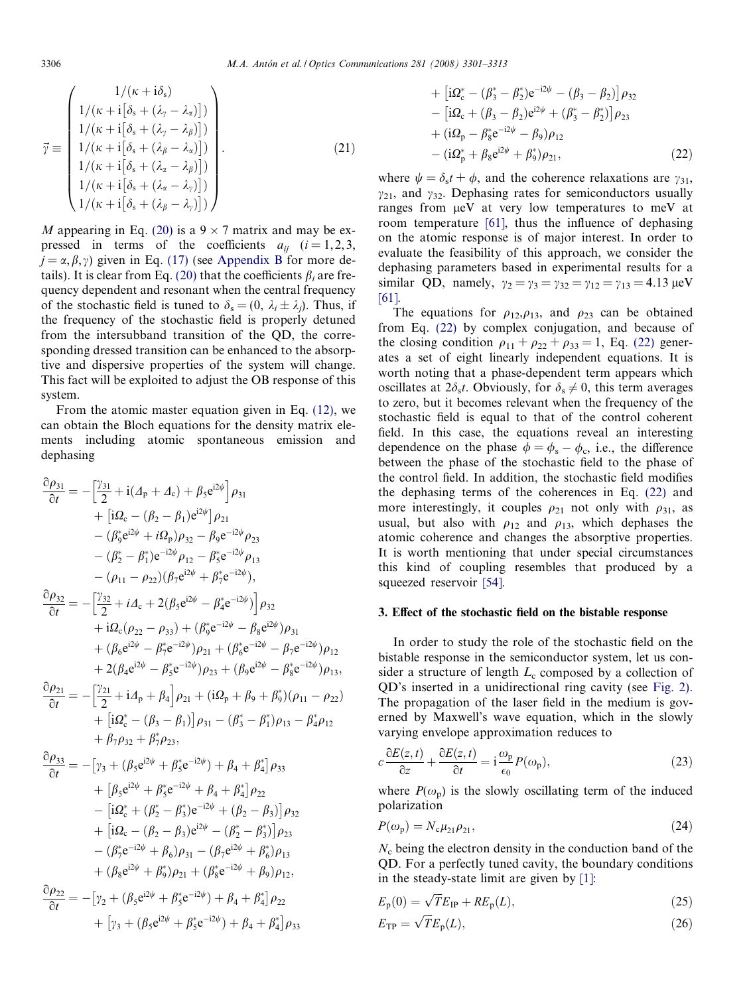<span id="page-5-0"></span>
$$
\vec{\gamma} \equiv \begin{pmatrix}\n1/(\kappa + i\delta_{\rm s}) \\
1/(\kappa + i[\delta_{\rm s} + (\lambda_{\gamma} - \lambda_{\alpha})]) \\
1/(\kappa + i[\delta_{\rm s} + (\lambda_{\gamma} - \lambda_{\beta})]) \\
1/(\kappa + i[\delta_{\rm s} + (\lambda_{\beta} - \lambda_{\alpha})]) \\
1/(\kappa + i[\delta_{\rm s} + (\lambda_{\alpha} - \lambda_{\beta})]) \\
1/(\kappa + i[\delta_{\rm s} + (\lambda_{\alpha} - \lambda_{\gamma})]) \\
1/(\kappa + i[\delta_{\rm s} + (\lambda_{\beta} - \lambda_{\gamma})])\n\end{pmatrix} .
$$
\n(21)

M appearing in Eq. [\(20\)](#page-4-0) is a  $9 \times 7$  matrix and may be expressed in terms of the coefficients  $a_{ij}$  ( $i = 1, 2, 3$ ,  $j = \alpha, \beta, \gamma$ ) given in Eq. [\(17\)](#page-4-0) (see Appendix B for more de-tails). It is clear from Eq. [\(20\)](#page-4-0) that the coefficients  $\beta_i$  are frequency dependent and resonant when the central frequency of the stochastic field is tuned to  $\delta_s = (0, \lambda_i \pm \lambda_i)$ . Thus, if the frequency of the stochastic field is properly detuned from the intersubband transition of the QD, the corresponding dressed transition can be enhanced to the absorptive and dispersive properties of the system will change. This fact will be exploited to adjust the OB response of this system.

From the atomic master equation given in Eq. [\(12\)](#page-4-0), we can obtain the Bloch equations for the density matrix elements including atomic spontaneous emission and dephasing

$$
\frac{\partial \rho_{31}}{\partial t} = -\left[\frac{\gamma_{31}}{2} + i(A_{p} + A_{c}) + \beta_{5}e^{i2\psi}\right] \rho_{31} \n+ \left[i\Omega_{c} - (\beta_{2} - \beta_{1})e^{i2\psi}\right] \rho_{21} \n- (\beta_{9}^{*}e^{i2\psi} + i\Omega_{p}) \rho_{32} - \beta_{9}e^{-i2\psi} \rho_{23} \n- (\beta_{2}^{*} - \beta_{1}^{*})e^{-i2\psi} \rho_{12} - \beta_{5}^{*}e^{-i2\psi} \rho_{13} \n- (\rho_{11} - \rho_{22})(\beta_{7}e^{i2\psi} + \beta_{7}^{*}e^{-i2\psi}), \n\frac{\partial \rho_{32}}{\partial t} = -\left[\frac{\gamma_{32}}{2} + iA_{c} + 2(\beta_{5}e^{i2\psi} - \beta_{4}^{*}e^{-i2\psi})\right] \rho_{32} \n+ i\Omega_{c}(\rho_{22} - \rho_{33}) + (\beta_{9}^{*}e^{-i2\psi} - \beta_{8}e^{i2\psi}) \rho_{31} \n+ (\beta_{6}e^{i2\psi} - \beta_{7}^{*}e^{-i2\psi}) \rho_{21} + (\beta_{6}^{*}e^{-i2\psi} - \beta_{7}e^{-i2\psi}) \rho_{12} \n+ 2(\beta_{4}e^{i2\psi} - \beta_{5}^{*}e^{-i2\psi}) \rho_{23} + (\beta_{9}e^{i2\psi} - \beta_{8}^{*}e^{-i2\psi}) \rho_{13}, \n\frac{\partial \rho_{21}}{\partial t} = -\left[\frac{\gamma_{21}}{2} + iA_{p} + \beta_{4}\right] \rho_{21} + (i\Omega_{p} + \beta_{9} + \beta_{9}^{*}) (\rho_{11} - \rho_{22}) \n+ \left[i\Omega_{c}^{*} - (\beta_{3} - \beta_{1})\right] \rho_{31} - (\beta_{3}^{*} - \beta_{1}^{*}) \rho_{13} - \beta_{4}^{*} \rho_{12} \n+ \beta_{7} \rho_{32} + \beta_{7}^{*} \rho_{23}, \n\frac{\partial \rho_{33}}{\partial t} = -
$$

+ 
$$
\left[ i\Omega_c^* - (\beta_3^* - \beta_2^*)e^{-i2\psi} - (\beta_3 - \beta_2) \right] \rho_{32}
$$
  
\n- 
$$
\left[ i\Omega_c + (\beta_3 - \beta_2)e^{i2\psi} + (\beta_3^* - \beta_2^*) \right] \rho_{23}
$$
  
\n+ 
$$
(i\Omega_p - \beta_8^*e^{-i2\psi} - \beta_9) \rho_{12}
$$
  
\n- 
$$
(i\Omega_p^* + \beta_8e^{i2\psi} + \beta_9^*) \rho_{21},
$$
 (22)

where  $\psi = \delta_s t + \phi$ , and the coherence relaxations are  $\gamma_{31}$ ,  $\gamma_{21}$ , and  $\gamma_{32}$ . Dephasing rates for semiconductors usually ranges from leV at very low temperatures to meV at room temperature [\[61\]](#page-12-0), thus the influence of dephasing on the atomic response is of major interest. In order to evaluate the feasibility of this approach, we consider the dephasing parameters based in experimental results for a similar QD, namely,  $\gamma_2 = \gamma_3 = \gamma_{32} = \gamma_{12} = \gamma_{13} = 4.13 \,\text{\mu}eV$ [\[61\]](#page-12-0).

The equations for  $\rho_{12}, \rho_{13}$ , and  $\rho_{23}$  can be obtained from Eq. (22) by complex conjugation, and because of the closing condition  $\rho_{11} + \rho_{22} + \rho_{33} = 1$ , Eq. (22) generates a set of eight linearly independent equations. It is worth noting that a phase-dependent term appears which oscillates at  $2\delta_s t$ . Obviously, for  $\delta_s \neq 0$ , this term averages to zero, but it becomes relevant when the frequency of the stochastic field is equal to that of the control coherent field. In this case, the equations reveal an interesting dependence on the phase  $\phi = \phi_s - \phi_c$ , i.e., the difference between the phase of the stochastic field to the phase of the control field. In addition, the stochastic field modifies the dephasing terms of the coherences in Eq. (22) and more interestingly, it couples  $\rho_{21}$  not only with  $\rho_{31}$ , as usual, but also with  $\rho_{12}$  and  $\rho_{13}$ , which dephases the atomic coherence and changes the absorptive properties. It is worth mentioning that under special circumstances this kind of coupling resembles that produced by a squeezed reservoir [\[54\]](#page-12-0).

## 3. Effect of the stochastic field on the bistable response

In order to study the role of the stochastic field on the bistable response in the semiconductor system, let us consider a structure of length  $L_c$  composed by a collection of QD's inserted in a unidirectional ring cavity (see [Fig. 2\)](#page-6-0). The propagation of the laser field in the medium is governed by Maxwell's wave equation, which in the slowly varying envelope approximation reduces to

$$
c\frac{\partial E(z,t)}{\partial z} + \frac{\partial E(z,t)}{\partial t} = \mathbf{i}\frac{\omega_{\mathbf{p}}}{\epsilon_0}P(\omega_{\mathbf{p}}),\tag{23}
$$

where  $P(\omega_{\rm p})$  is the slowly oscillating term of the induced polarization

$$
P(\omega_{\rm p}) = N_{\rm c} \mu_{21} \rho_{21},\tag{24}
$$

 $N<sub>c</sub>$  being the electron density in the conduction band of the QD. For a perfectly tuned cavity, the boundary conditions in the steady-state limit are given by [\[1\]:](#page-11-0)

$$
E_{\rm p}(0) = \sqrt{T}E_{\rm IP} + RE_{\rm p}(L),\tag{25}
$$

$$
E_{\rm TP} = \sqrt{T} E_{\rm p}(L),\tag{26}
$$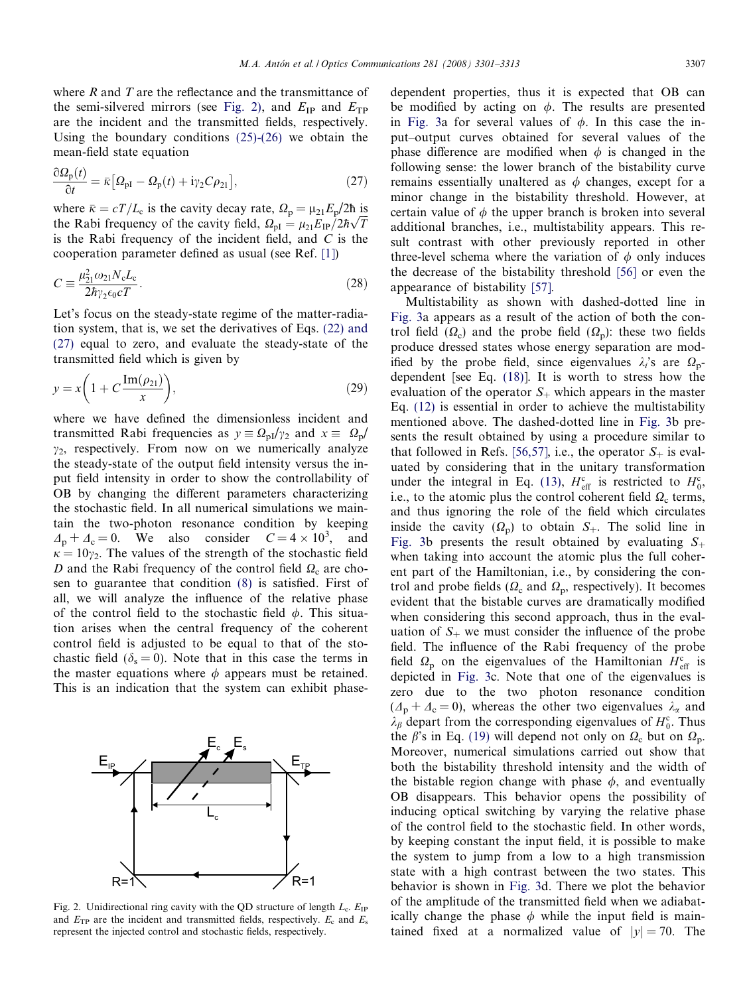<span id="page-6-0"></span>where  $R$  and  $T$  are the reflectance and the transmittance of the semi-silvered mirrors (see Fig. 2), and  $E_{IP}$  and  $E_{TP}$ are the incident and the transmitted fields, respectively. Using the boundary conditions [\(25\)-\(26\)](#page-5-0) we obtain the mean-field state equation

$$
\frac{\partial \Omega_{\mathbf{p}}(t)}{\partial t} = \bar{\kappa} \big[ \Omega_{\mathbf{p}I} - \Omega_{\mathbf{p}}(t) + i \gamma_2 C \rho_{21} \big],\tag{27}
$$

where  $\bar{\kappa} = cT/L_c$  is the cavity decay rate,  $\Omega_p = \mu_{21} E_p/2\hbar$  is the Rabi frequency of the cavity field,  $\Omega_{\text{pl}} = \mu_{21} E_{\text{IP}} / 2\hbar \sqrt{T}$ is the Rabi frequency of the incident field, and  $C$  is the cooperation parameter defined as usual (see Ref. [\[1\]\)](#page-11-0)

$$
C \equiv \frac{\mu_{21}^2 \omega_{21} N_c L_c}{2\hbar \gamma_2 \epsilon_0 cT}.
$$
\n(28)

Let's focus on the steady-state regime of the matter-radiation system, that is, we set the derivatives of Eqs. [\(22\) and](#page-5-0) [\(27\)](#page-5-0) equal to zero, and evaluate the steady-state of the transmitted field which is given by

$$
y = x \left( 1 + C \frac{\operatorname{Im}(\rho_{21})}{x} \right),\tag{29}
$$

where we have defined the dimensionless incident and transmitted Rabi frequencies as  $y = \Omega_{pI}/\gamma_2$  and  $x = \Omega_p/$  $\gamma_2$ , respectively. From now on we numerically analyze the steady-state of the output field intensity versus the input field intensity in order to show the controllability of OB by changing the different parameters characterizing the stochastic field. In all numerical simulations we maintain the two-photon resonance condition by keeping  $\Delta_p + \Delta_c = 0$ . We also consider  $C = 4 \times 10^3$ , and  $\kappa = 10\gamma_2$ . The values of the strength of the stochastic field D and the Rabi frequency of the control field  $\Omega_c$  are chosen to guarantee that condition [\(8\)](#page-3-0) is satisfied. First of all, we will analyze the influence of the relative phase of the control field to the stochastic field  $\phi$ . This situation arises when the central frequency of the coherent control field is adjusted to be equal to that of the stochastic field ( $\delta$ <sub>s</sub> = 0). Note that in this case the terms in the master equations where  $\phi$  appears must be retained. This is an indication that the system can exhibit phase-



Fig. 2. Unidirectional ring cavity with the QD structure of length  $L_c$ .  $E_{IP}$ and  $E_{\text{TP}}$  are the incident and transmitted fields, respectively.  $E_c$  and  $E_s$ represent the injected control and stochastic fields, respectively.

dependent properties, thus it is expected that OB can be modified by acting on  $\phi$ . The results are presented in [Fig. 3](#page-7-0)a for several values of  $\phi$ . In this case the input–output curves obtained for several values of the phase difference are modified when  $\phi$  is changed in the following sense: the lower branch of the bistability curve remains essentially unaltered as  $\phi$  changes, except for a minor change in the bistability threshold. However, at certain value of  $\phi$  the upper branch is broken into several additional branches, i.e., multistability appears. This result contrast with other previously reported in other three-level schema where the variation of  $\phi$  only induces the decrease of the bistability threshold [\[56\]](#page-12-0) or even the appearance of bistability [\[57\]](#page-12-0).

Multistability as shown with dashed-dotted line in [Fig. 3](#page-7-0)a appears as a result of the action of both the control field  $(\Omega_c)$  and the probe field  $(\Omega_p)$ : these two fields produce dressed states whose energy separation are modified by the probe field, since eigenvalues  $\lambda_i$ 's are  $\Omega_p$ dependent [see Eq. [\(18\)\]](#page-4-0). It is worth to stress how the evaluation of the operator  $S_+$  which appears in the master Eq. [\(12\)](#page-4-0) is essential in order to achieve the multistability mentioned above. The dashed-dotted line in [Fig. 3b](#page-7-0) presents the result obtained by using a procedure similar to that followed in Refs. [\[56,57\],](#page-12-0) i.e., the operator  $S_+$  is evaluated by considering that in the unitary transformation under the integral in Eq. [\(13\),](#page-4-0)  $H_{\text{eff}}^{\text{c}}$  is restricted to  $H_0^{\text{c}}$ , i.e., to the atomic plus the control coherent field  $\Omega_c$  terms, and thus ignoring the role of the field which circulates inside the cavity  $(\Omega_{p})$  to obtain  $S_{+}$ . The solid line in [Fig. 3b](#page-7-0) presents the result obtained by evaluating  $S_+$ when taking into account the atomic plus the full coherent part of the Hamiltonian, i.e., by considering the control and probe fields ( $\Omega_c$  and  $\Omega_p$ , respectively). It becomes evident that the bistable curves are dramatically modified when considering this second approach, thus in the evaluation of  $S_{+}$  we must consider the influence of the probe field. The influence of the Rabi frequency of the probe field  $\Omega_{\rm p}$  on the eigenvalues of the Hamiltonian  $H_{\rm eff}^{\rm c}$  is depicted in [Fig. 3c](#page-7-0). Note that one of the eigenvalues is zero due to the two photon resonance condition  $(\Delta_{p} + \Delta_{c} = 0)$ , whereas the other two eigenvalues  $\lambda_{\alpha}$  and  $\lambda_{\beta}$  depart from the corresponding eigenvalues of  $H_0^c$ . Thus the  $\beta$ 's in Eq. [\(19\)](#page-4-0) will depend not only on  $\Omega_c$  but on  $\Omega_p$ . Moreover, numerical simulations carried out show that both the bistability threshold intensity and the width of the bistable region change with phase  $\phi$ , and eventually OB disappears. This behavior opens the possibility of inducing optical switching by varying the relative phase of the control field to the stochastic field. In other words, by keeping constant the input field, it is possible to make the system to jump from a low to a high transmission state with a high contrast between the two states. This behavior is shown in [Fig. 3d](#page-7-0). There we plot the behavior of the amplitude of the transmitted field when we adiabatically change the phase  $\phi$  while the input field is maintained fixed at a normalized value of  $|y| = 70$ . The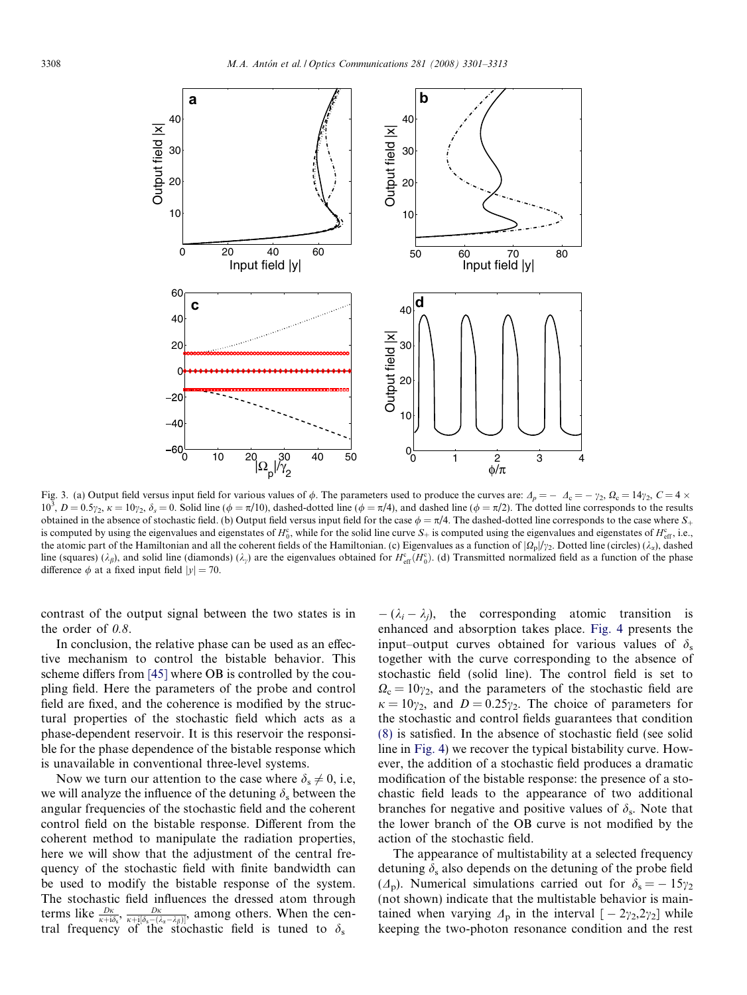<span id="page-7-0"></span>

Fig. 3. (a) Output field versus input field for various values of  $\phi$ . The parameters used to produce the curves are:  $\Delta_p = -\Delta_c = -\gamma_2$ ,  $\Omega_c = 14\gamma_2$ ,  $C = 4 \times$  $10^3$ ,  $D = 0.5\gamma_2$ ,  $\kappa = 10\gamma_2$ ,  $\delta_s = 0$ . Solid line ( $\phi = \pi/10$ ), dashed-dotted line ( $\phi = \pi/4$ ), and dashed line ( $\phi = \pi/2$ ). The dotted line corresponds to the results obtained in the absence of stochastic field. (b) Output field versus input field for the case  $\phi = \pi/4$ . The dashed-dotted line corresponds to the case where  $S_+$ is computed by using the eigenvalues and eigenstates of  $H_0^c$ , while for the solid line curve  $S_+$  is computed using the eigenvalues and eigenstates of  $H_{\text{eff}}^c$ , i.e., the atomic part of the Hamiltonian and all the coherent fields of the Hamiltonian. (c) Eigenvalues as a function of  $|\Omega_{\rm p}|/\gamma_2$ . Dotted line (circles) ( $\lambda_{\rm a}$ ), dashed line (squares) ( $\lambda_{\beta}$ ), and solid line (diamonds) ( $\lambda_{\gamma}$ ) are the eigenvalues obtained for  $H_{\text{eff}}^{\text{c}}(H_0^{\text{c}})$ . (d) Transmitted normalized field as a function of the phase difference  $\phi$  at a fixed input field  $|y| = 70$ .

contrast of the output signal between the two states is in the order of  $0.8$ .

In conclusion, the relative phase can be used as an effective mechanism to control the bistable behavior. This scheme differs from [\[45\]](#page-11-0) where OB is controlled by the coupling field. Here the parameters of the probe and control field are fixed, and the coherence is modified by the structural properties of the stochastic field which acts as a phase-dependent reservoir. It is this reservoir the responsible for the phase dependence of the bistable response which is unavailable in conventional three-level systems.

Now we turn our attention to the case where  $\delta_s \neq 0$ , i.e, we will analyze the influence of the detuning  $\delta_s$  between the angular frequencies of the stochastic field and the coherent control field on the bistable response. Different from the coherent method to manipulate the radiation properties, here we will show that the adjustment of the central frequency of the stochastic field with finite bandwidth can be used to modify the bistable response of the system. The stochastic field influences the dressed atom through terms like  $\frac{D\kappa}{\kappa+i\delta_s}$ ,  $\frac{D\kappa}{\kappa+i[\delta_s-(\lambda_s-\lambda_\beta)]}$ , among others. When the central frequency of the stochastic field is tuned to  $\delta_s$ 

 $-(\lambda_i - \lambda_j)$ , the corresponding atomic transition is enhanced and absorption takes place. [Fig. 4](#page-8-0) presents the input–output curves obtained for various values of  $\delta_s$ together with the curve corresponding to the absence of stochastic field (solid line). The control field is set to  $\Omega_c = 10\gamma_2$ , and the parameters of the stochastic field are  $\kappa = 10\gamma_2$ , and  $D = 0.25\gamma_2$ . The choice of parameters for the stochastic and control fields guarantees that condition [\(8\)](#page-3-0) is satisfied. In the absence of stochastic field (see solid line in [Fig. 4\)](#page-8-0) we recover the typical bistability curve. However, the addition of a stochastic field produces a dramatic modification of the bistable response: the presence of a stochastic field leads to the appearance of two additional branches for negative and positive values of  $\delta_s$ . Note that the lower branch of the OB curve is not modified by the action of the stochastic field.

The appearance of multistability at a selected frequency detuning  $\delta_s$  also depends on the detuning of the probe field  $(\Lambda_p)$ . Numerical simulations carried out for  $\delta_s = -15\gamma_2$ (not shown) indicate that the multistable behavior is maintained when varying  $\Delta_p$  in the interval  $[-2\gamma_2, 2\gamma_2]$  while keeping the two-photon resonance condition and the rest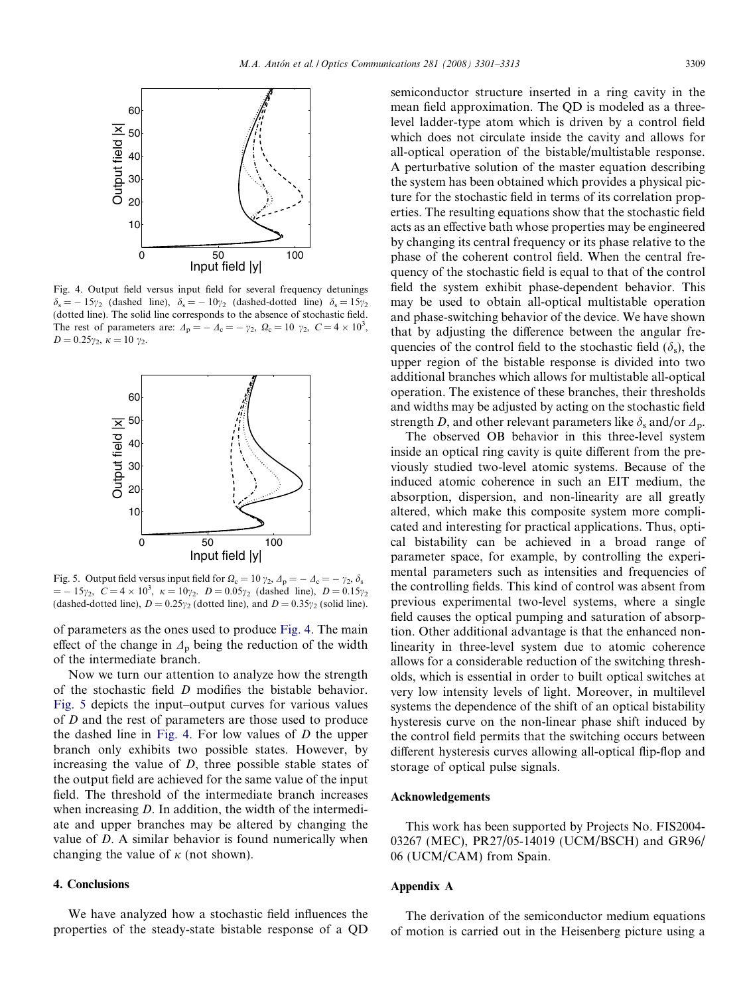<span id="page-8-0"></span>

Fig. 4. Output field versus input field for several frequency detunings  $\delta_s = -15\gamma_2$  (dashed line),  $\delta_s = -10\gamma_2$  (dashed-dotted line)  $\delta_s = 15\gamma_2$ (dotted line). The solid line corresponds to the absence of stochastic field. The rest of parameters are:  $\Delta_p = -\Delta_c = -\gamma_2$ ,  $\Omega_c = 10 \gamma_2$ ,  $C = 4 \times 10^3$ ,  $D = 0.25\gamma_2, \ \kappa = 10 \ \gamma_2.$ 



Fig. 5. Output field versus input field for  $\Omega_c = 10 \gamma_2$ ,  $\Delta_p = -\Delta_c = -\gamma_2$ ,  $\delta_s$  $=$   $-15\gamma_2$ ,  $C = 4 \times 10^3$ ,  $\kappa = 10\gamma_2$ .  $D = 0.05\gamma_2$  (dashed line),  $D = 0.15\gamma_2$ (dashed-dotted line),  $D = 0.25\gamma_2$  (dotted line), and  $D = 0.35\gamma_2$  (solid line).

of parameters as the ones used to produce Fig. 4. The main effect of the change in  $\Lambda_{p}$  being the reduction of the width of the intermediate branch.

Now we turn our attention to analyze how the strength of the stochastic field D modifies the bistable behavior. Fig. 5 depicts the input–output curves for various values of D and the rest of parameters are those used to produce the dashed line in Fig. 4. For low values of  $D$  the upper branch only exhibits two possible states. However, by increasing the value of  $D$ , three possible stable states of the output field are achieved for the same value of the input field. The threshold of the intermediate branch increases when increasing D. In addition, the width of the intermediate and upper branches may be altered by changing the value of D. A similar behavior is found numerically when changing the value of  $\kappa$  (not shown).

#### 4. Conclusions

We have analyzed how a stochastic field influences the properties of the steady-state bistable response of a QD semiconductor structure inserted in a ring cavity in the mean field approximation. The QD is modeled as a threelevel ladder-type atom which is driven by a control field which does not circulate inside the cavity and allows for all-optical operation of the bistable/multistable response. A perturbative solution of the master equation describing the system has been obtained which provides a physical picture for the stochastic field in terms of its correlation properties. The resulting equations show that the stochastic field acts as an effective bath whose properties may be engineered by changing its central frequency or its phase relative to the phase of the coherent control field. When the central frequency of the stochastic field is equal to that of the control field the system exhibit phase-dependent behavior. This may be used to obtain all-optical multistable operation and phase-switching behavior of the device. We have shown that by adjusting the difference between the angular frequencies of the control field to the stochastic field  $(\delta_s)$ , the upper region of the bistable response is divided into two additional branches which allows for multistable all-optical operation. The existence of these branches, their thresholds and widths may be adjusted by acting on the stochastic field strength D, and other relevant parameters like  $\delta_s$  and/or  $\Delta_p$ .

The observed OB behavior in this three-level system inside an optical ring cavity is quite different from the previously studied two-level atomic systems. Because of the induced atomic coherence in such an EIT medium, the absorption, dispersion, and non-linearity are all greatly altered, which make this composite system more complicated and interesting for practical applications. Thus, optical bistability can be achieved in a broad range of parameter space, for example, by controlling the experimental parameters such as intensities and frequencies of the controlling fields. This kind of control was absent from previous experimental two-level systems, where a single field causes the optical pumping and saturation of absorption. Other additional advantage is that the enhanced nonlinearity in three-level system due to atomic coherence allows for a considerable reduction of the switching thresholds, which is essential in order to built optical switches at very low intensity levels of light. Moreover, in multilevel systems the dependence of the shift of an optical bistability hysteresis curve on the non-linear phase shift induced by the control field permits that the switching occurs between different hysteresis curves allowing all-optical flip-flop and storage of optical pulse signals.

## Acknowledgements

This work has been supported by Projects No. FIS2004- 03267 (MEC), PR27/05-14019 (UCM/BSCH) and GR96/ 06 (UCM/CAM) from Spain.

# Appendix A

The derivation of the semiconductor medium equations of motion is carried out in the Heisenberg picture using a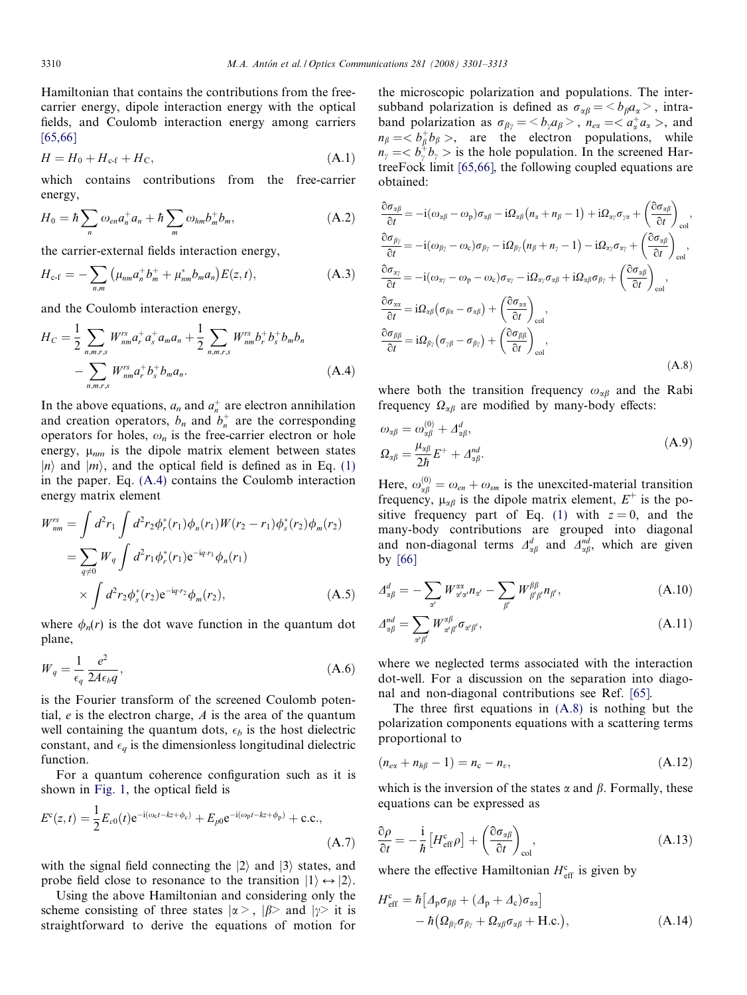<span id="page-9-0"></span>Hamiltonian that contains the contributions from the freecarrier energy, dipole interaction energy with the optical fields, and Coulomb interaction energy among carriers [\[65,66\]](#page-12-0)

$$
H = H_0 + H_{\rm cf} + H_{\rm C},\tag{A.1}
$$

which contains contributions from the free-carrier energy,

$$
H_0 = \hbar \sum_n \omega_{en} a_n^+ a_n + \hbar \sum_m \omega_{hm} b_m^+ b_m, \qquad (A.2)
$$

the carrier-external fields interaction energy,

$$
H_{\rm c\text{-}f} = -\sum_{n,m} \left( \mu_{nm} a_n^+ b_m^+ + \mu_{nm}^* b_m a_n \right) E(z,t), \tag{A.3}
$$

and the Coulomb interaction energy,

$$
H_C = \frac{1}{2} \sum_{n,m,r,s} W_{nm}^{rs} a_r^+ a_s^+ a_m a_n + \frac{1}{2} \sum_{n,m,r,s} W_{nm}^{rs} b_r^+ b_s^+ b_m b_n - \sum_{n,m,r,s} W_{nm}^{rs} a_r^+ b_s^+ b_m a_n.
$$
 (A.4)

In the above equations,  $a_n$  and  $a_n^+$  are electron annihilation and creation operators,  $b_n$  and  $b_n^+$  are the corresponding operators for holes,  $\omega_n$  is the free-carrier electron or hole energy,  $\mu_{nm}$  is the dipole matrix element between states  $|n\rangle$  and  $|m\rangle$ , and the optical field is defined as in Eq. [\(1\)](#page-2-0) in the paper. Eq. (A.4) contains the Coulomb interaction energy matrix element

$$
W_{nm}^{rs} = \int d^2 r_1 \int d^2 r_2 \phi_r^*(r_1) \phi_n(r_1) W(r_2 - r_1) \phi_s^*(r_2) \phi_m(r_2)
$$
  
= 
$$
\sum_{q \neq 0} W_q \int d^2 r_1 \phi_r^*(r_1) e^{-i q \cdot r_1} \phi_n(r_1)
$$
  

$$
\times \int d^2 r_2 \phi_s^*(r_2) e^{-i q \cdot r_2} \phi_m(r_2), \qquad (A.5)
$$

where  $\phi_n(r)$  is the dot wave function in the quantum dot plane,

$$
W_q = \frac{1}{\epsilon_q} \frac{e^2}{2A\epsilon_b q},\tag{A.6}
$$

is the Fourier transform of the screened Coulomb potential,  $e$  is the electron charge,  $A$  is the area of the quantum well containing the quantum dots,  $\epsilon_b$  is the host dielectric constant, and  $\epsilon_q$  is the dimensionless longitudinal dielectric function.

For a quantum coherence configuration such as it is shown in [Fig. 1](#page-2-0), the optical field is

$$
E^{c}(z,t) = \frac{1}{2}E_{c0}(t)e^{-i(\omega_{c}t - kz + \phi_{c})} + E_{p0}e^{-i(\omega_{p}t - kz + \phi_{p})} + \text{c.c.},
$$
\n(A.7)

with the signal field connecting the  $|2\rangle$  and  $|3\rangle$  states, and probe field close to resonance to the transition  $|1\rangle \leftrightarrow |2\rangle$ .

Using the above Hamiltonian and considering only the scheme consisting of three states  $|\alpha\rangle$ ,  $|\beta\rangle$  and  $|\gamma\rangle$  it is straightforward to derive the equations of motion for

the microscopic polarization and populations. The intersubband polarization is defined as  $\sigma_{\alpha\beta} = \langle b_{\beta} a_{\alpha} \rangle$ , intraband polarization as  $\sigma_{\beta\gamma} = \langle b_{\gamma} a_{\beta} \rangle$ ,  $n_{e\alpha} = \langle a_{\alpha}^{\dagger} a_{\alpha} \rangle$ , and  $n_{\beta} = \langle b_{\beta}^{\dagger} b_{\beta} \rangle$ , are the electron populations, while  $n_{\gamma} = \langle b_{\gamma}^{\dagger} b_{\gamma} \rangle$  is the hole population. In the screened HartreeFock limit [\[65,66\],](#page-12-0) the following coupled equations are obtained:

$$
\frac{\partial \sigma_{\alpha\beta}}{\partial t} = -i(\omega_{\alpha\beta} - \omega_p)\sigma_{\alpha\beta} - i\Omega_{\alpha\beta}(n_{\alpha} + n_{\beta} - 1) + i\Omega_{\alpha\gamma}\sigma_{\gamma\alpha} + \left(\frac{\partial \sigma_{\alpha\beta}}{\partial t}\right)_{\text{col}},
$$
\n
$$
\frac{\partial \sigma_{\beta\gamma}}{\partial t} = -i(\omega_{\beta\gamma} - \omega_{\text{c}})\sigma_{\beta\gamma} - i\Omega_{\beta\gamma}(n_{\beta} + n_{\gamma} - 1) - i\Omega_{\alpha\gamma}\sigma_{\alpha\gamma} + \left(\frac{\partial \sigma_{\alpha\beta}}{\partial t}\right)_{\text{col}},
$$
\n
$$
\frac{\partial \sigma_{\alpha\gamma}}{\partial t} = -i(\omega_{\alpha\gamma} - \omega_p - \omega_{\text{c}})\sigma_{\alpha\gamma} - i\Omega_{\alpha\gamma}\sigma_{\alpha\beta} + i\Omega_{\alpha\beta}\sigma_{\beta\gamma} + \left(\frac{\partial \sigma_{\alpha\beta}}{\partial t}\right)_{\text{col}},
$$
\n
$$
\frac{\partial \sigma_{\alpha\alpha}}{\partial t} = i\Omega_{\alpha\beta}(\sigma_{\beta\alpha} - \sigma_{\alpha\beta}) + \left(\frac{\partial \sigma_{\alpha\alpha}}{\partial t}\right)_{\text{col}},
$$
\n
$$
\frac{\partial \sigma_{\beta\beta}}{\partial t} = i\Omega_{\beta\gamma}(\sigma_{\gamma\beta} - \sigma_{\beta\gamma}) + \left(\frac{\partial \sigma_{\beta\beta}}{\partial t}\right)_{\text{col}},
$$
\n(A.8)

where both the transition frequency  $\omega_{\alpha\beta}$  and the Rabi frequency  $\Omega_{\alpha\beta}$  are modified by many-body effects:

$$
\omega_{\alpha\beta} = \omega_{\alpha\beta}^{(0)} + \Delta_{\alpha\beta}^{d},
$$
  
\n
$$
\Omega_{\alpha\beta} = \frac{\mu_{\alpha\beta}}{2\hbar}E^{+} + \Delta_{\alpha\beta}^{nd}.
$$
\n(A.9)

Here,  $\omega_{\alpha\beta}^{(0)} = \omega_{en} + \omega_{sm}$  is the unexcited-material transition frequency,  $\mu_{\alpha\beta}$  is the dipole matrix element,  $E^+$  is the po-sitive frequency part of Eq. [\(1\)](#page-2-0) with  $z = 0$ , and the many-body contributions are grouped into diagonal and non-diagonal terms  $\Delta_{\alpha\beta}^{d}$  and  $\Delta_{\alpha\beta}^{nd}$ , which are given by [\[66\]](#page-12-0)

$$
\varDelta_{\alpha\beta}^{d} = -\sum_{\alpha'} W_{\alpha'\alpha'}^{\alpha\alpha} n_{\alpha'} - \sum_{\beta'} W_{\beta'\beta'}^{\beta\beta} n_{\beta'}, \tag{A.10}
$$

$$
\varDelta_{\alpha\beta}^{nd} = \sum_{\alpha'\beta'} W_{\alpha'\beta'}^{\alpha\beta} \sigma_{\alpha'\beta'},\tag{A.11}
$$

where we neglected terms associated with the interaction dot-well. For a discussion on the separation into diagonal and non-diagonal contributions see Ref. [\[65\].](#page-12-0)

The three first equations in  $(A.8)$  is nothing but the polarization components equations with a scattering terms proportional to

$$
(n_{e\alpha} + n_{h\beta} - 1) = n_c - n_v,
$$
 (A.12)

which is the inversion of the states  $\alpha$  and  $\beta$ . Formally, these equations can be expressed as

$$
\frac{\partial \rho}{\partial t} = -\frac{i}{\hbar} \left[ H_{\text{eff}}^{\text{c}} \rho \right] + \left( \frac{\partial \sigma_{\alpha \beta}}{\partial t} \right)_{\text{col}},\tag{A.13}
$$

where the effective Hamiltonian  $H_{\text{eff}}^{\text{c}}$  is given by

$$
H_{\text{eff}}^{\text{c}} = \hbar \left[ \Delta_{\text{p}} \sigma_{\beta\beta} + (\Delta_{\text{p}} + \Delta_{\text{c}}) \sigma_{\alpha\alpha} \right] - \hbar \left( \Omega_{\beta\gamma} \sigma_{\beta\gamma} + \Omega_{\alpha\beta} \sigma_{\alpha\beta} + \text{H.c.} \right),
$$
 (A.14)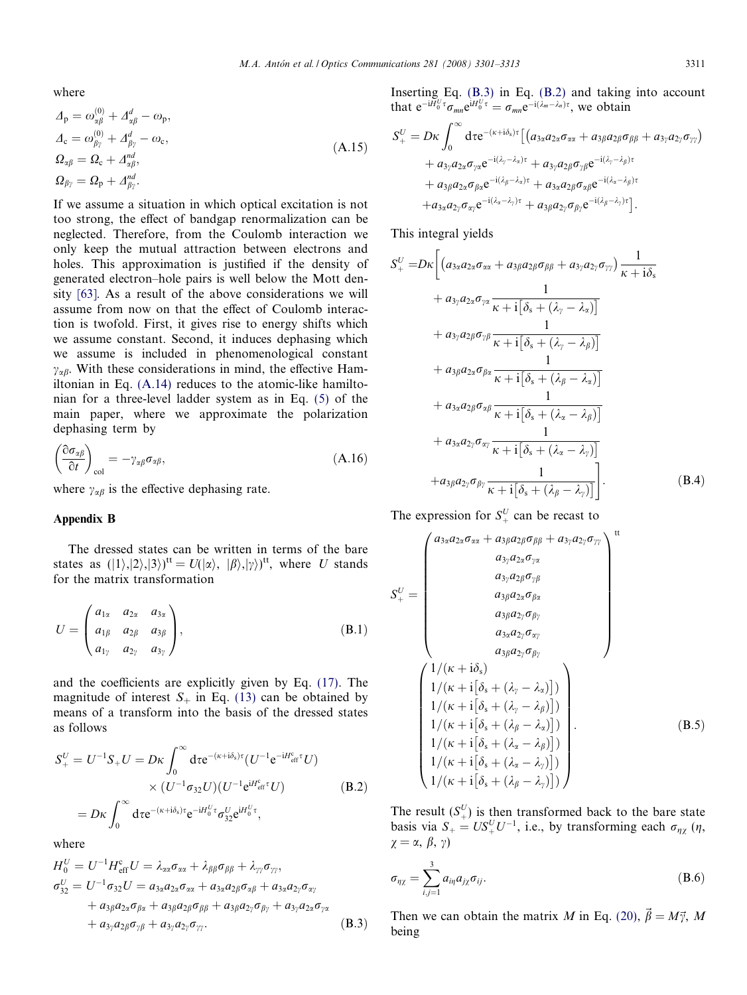where

$$
A_{\rm p} = \omega_{\alpha\beta}^{(0)} + A_{\alpha\beta}^{d} - \omega_{\rm p},
$$
  
\n
$$
A_{\rm c} = \omega_{\beta\gamma}^{(0)} + A_{\beta\gamma}^{d} - \omega_{\rm c},
$$
  
\n
$$
\Omega_{\alpha\beta} = \Omega_{\rm c} + A_{\alpha\beta}^{nd},
$$
  
\n
$$
\Omega_{\beta\gamma} = \Omega_{\rm p} + A_{\beta\gamma}^{nd}.
$$
\n(A.15)

If we assume a situation in which optical excitation is not too strong, the effect of bandgap renormalization can be neglected. Therefore, from the Coulomb interaction we only keep the mutual attraction between electrons and holes. This approximation is justified if the density of generated electron–hole pairs is well below the Mott density [\[63\].](#page-12-0) As a result of the above considerations we will assume from now on that the effect of Coulomb interaction is twofold. First, it gives rise to energy shifts which we assume constant. Second, it induces dephasing which we assume is included in phenomenological constant  $\gamma_{\alpha\beta}$ . With these considerations in mind, the effective Hamiltonian in Eq. [\(A.14\)](#page-9-0) reduces to the atomic-like hamiltonian for a three-level ladder system as in Eq. [\(5\)](#page-3-0) of the main paper, where we approximate the polarization dephasing term by

$$
\left(\frac{\partial \sigma_{\alpha\beta}}{\partial t}\right)_{\text{col}} = -\gamma_{\alpha\beta}\sigma_{\alpha\beta},\tag{A.16}
$$

where  $\gamma_{\alpha\beta}$  is the effective dephasing rate.

#### Appendix B

The dressed states can be written in terms of the bare states as  $(|1\rangle, |2\rangle, |3\rangle)$ <sup>tt</sup> =  $U(|\alpha\rangle, |\beta\rangle, |\gamma\rangle)$ <sup>tt</sup>, where U stands for the matrix transformation

$$
U = \begin{pmatrix} a_{1\alpha} & a_{2\alpha} & a_{3\alpha} \\ a_{1\beta} & a_{2\beta} & a_{3\beta} \\ a_{1\gamma} & a_{2\gamma} & a_{3\gamma} \end{pmatrix},
$$
(B.1)

and the coefficients are explicitly given by Eq. [\(17\).](#page-4-0) The magnitude of interest  $S_+$  in Eq. [\(13\)](#page-4-0) can be obtained by means of a transform into the basis of the dressed states as follows

$$
S_{+}^{U} = U^{-1}S_{+}U = D\kappa \int_{0}^{\infty} d\tau e^{-(\kappa + i\delta_{s})\tau} (U^{-1}e^{-iH_{\text{eff}}^{c}\tau}U)
$$

$$
\times (U^{-1}\sigma_{32}U)(U^{-1}e^{iH_{\text{eff}}^{c}\tau}U)
$$

$$
= D\kappa \int_{0}^{\infty} d\tau e^{-(\kappa + i\delta_{s})\tau} e^{-iH_{0}^{U}\tau} \sigma_{32}^{U}e^{iH_{0}^{U}\tau}, \qquad (B.2)
$$

where

$$
H_0^U = U^{-1} H_{\text{eff}}^c U = \lambda_{\alpha\alpha} \sigma_{\alpha\alpha} + \lambda_{\beta\beta} \sigma_{\beta\beta} + \lambda_{\gamma\gamma} \sigma_{\gamma\gamma},
$$
  
\n
$$
\sigma_{32}^U = U^{-1} \sigma_{32} U = a_{3\alpha} a_{2\alpha} \sigma_{\alpha\alpha} + a_{3\alpha} a_{2\beta} \sigma_{\alpha\beta} + a_{3\alpha} a_{2\gamma} \sigma_{\alpha\gamma}
$$
  
\n
$$
+ a_{3\beta} a_{2\alpha} \sigma_{\beta\alpha} + a_{3\beta} a_{2\beta} \sigma_{\beta\beta} + a_{3\beta} a_{2\gamma} \sigma_{\beta\gamma} + a_{3\gamma} a_{2\alpha} \sigma_{\gamma\alpha}
$$
  
\n
$$
+ a_{3\gamma} a_{2\beta} \sigma_{\gamma\beta} + a_{3\gamma} a_{2\gamma} \sigma_{\gamma\gamma}.
$$
  
\n(B.3)

Inserting Eq. (B.3) in Eq. (B.2) and taking into account that  $e^{-i\tilde{H}_0^U \tau} \sigma_{mn} e^{iH_0^U \tau} = \sigma_{mn} e^{-i(\lambda_m - \lambda_n)\tau}$ , we obtain

$$
S_{+}^{U} = D\kappa \int_{0}^{\infty} d\tau e^{-(\kappa + i\delta_{s})\tau} \left[ \left( a_{3\alpha} a_{2\alpha} \sigma_{\alpha\alpha} + a_{3\beta} a_{2\beta} \sigma_{\beta\beta} + a_{3\gamma} a_{2\gamma} \sigma_{\gamma\gamma} \right) \right. \\ \left. + a_{3\gamma} a_{2\alpha} \sigma_{\gamma\alpha} e^{-i(\lambda_{\gamma} - \lambda_{\alpha})\tau} + a_{3\gamma} a_{2\beta} \sigma_{\gamma\beta} e^{-i(\lambda_{\gamma} - \lambda_{\beta})\tau} \right. \\ \left. + a_{3\beta} a_{2\alpha} \sigma_{\beta\alpha} e^{-i(\lambda_{\beta} - \lambda_{\alpha})\tau} + a_{3\alpha} a_{2\beta} \sigma_{\alpha\beta} e^{-i(\lambda_{\alpha} - \lambda_{\beta})\tau} \right. \\ \left. + a_{3\alpha} a_{2\gamma} \sigma_{\alpha\gamma} e^{-i(\lambda_{\alpha} - \lambda_{\gamma})\tau} + a_{3\beta} a_{2\gamma} \sigma_{\beta\gamma} e^{-i(\lambda_{\beta} - \lambda_{\gamma})\tau} \right].
$$

This integral yields

$$
S_{+}^{U} = D\kappa \left[ \left( a_{3\alpha} a_{2\alpha} \sigma_{\alpha\alpha} + a_{3\beta} a_{2\beta} \sigma_{\beta\beta} + a_{3\gamma} a_{2\gamma} \sigma_{\gamma\gamma} \right) \frac{1}{\kappa + i \delta_{s}} + a_{3\gamma} a_{2\alpha} \sigma_{\gamma\alpha} \frac{1}{\kappa + i \left[ \delta_{s} + (\lambda_{\gamma} - \lambda_{\alpha}) \right]} + a_{3\gamma} a_{2\beta} \sigma_{\gamma\beta} \frac{1}{\kappa + i \left[ \delta_{s} + (\lambda_{\gamma} - \lambda_{\beta}) \right]} + a_{3\beta} a_{2\alpha} \sigma_{\beta\alpha} \frac{1}{\kappa + i \left[ \delta_{s} + (\lambda_{\beta} - \lambda_{\alpha}) \right]} + a_{3\alpha} a_{2\beta} \sigma_{\alpha\beta} \frac{1}{\kappa + i \left[ \delta_{s} + (\lambda_{\alpha} - \lambda_{\beta}) \right]} + a_{3\alpha} a_{2\gamma} \sigma_{\alpha\gamma} \frac{1}{\kappa + i \left[ \delta_{s} + (\lambda_{\alpha} - \lambda_{\gamma}) \right]} + a_{3\beta} a_{2\gamma} \sigma_{\beta\gamma} \frac{1}{\kappa + i \left[ \delta_{s} + (\lambda_{\beta} - \lambda_{\gamma}) \right]}.
$$
\n(B.4)

The expression for  $S^U_+$  can be recast to

$$
S_{+}^{U} = \begin{pmatrix} a_{3\alpha}a_{2\alpha}\sigma_{\alpha\alpha} + a_{3\beta}a_{2\beta}\sigma_{\beta\beta} + a_{3\gamma}a_{2\gamma}\sigma_{\gamma\gamma} \\ a_{3\gamma}a_{2\alpha}\sigma_{\gamma\alpha} \\ a_{3\beta}a_{2\beta}\sigma_{\gamma\beta} \\ a_{3\beta}a_{2\gamma}\sigma_{\beta\gamma} \\ a_{3\beta}a_{2\gamma}\sigma_{\beta\gamma} \\ a_{3\beta}a_{2\gamma}\sigma_{\beta\gamma} \end{pmatrix}^{\text{tt}}
$$

$$
\begin{pmatrix} 1/(\kappa + \mathrm{i}\delta_{\mathrm{s}}) \\ 1/(\kappa + \mathrm{i}\delta_{\mathrm{s}} + (\lambda_{\gamma} - \lambda_{\alpha})]) \\ 1/(\kappa + \mathrm{i}\delta_{\mathrm{s}} + (\lambda_{\gamma} - \lambda_{\beta})]) \\ 1/(\kappa + \mathrm{i}\delta_{\mathrm{s}} + (\lambda_{\beta} - \lambda_{\alpha})) \\ 1/(\kappa + \mathrm{i}\delta_{\mathrm{s}} + (\lambda_{\alpha} - \lambda_{\beta})) \\ 1/(\kappa + \mathrm{i}\delta_{\mathrm{s}} + (\lambda_{\alpha} - \lambda_{\gamma})) \\ 1/(\kappa + \mathrm{i}\delta_{\mathrm{s}} + (\lambda_{\alpha} - \lambda_{\gamma})) \end{pmatrix} . \tag{B.5}
$$

The result  $(S_+^U)$  is then transformed back to the bare state basis via  $S_+ = US_+^U U^{-1}$ , i.e., by transforming each  $\sigma_{\eta\chi}$  ( $\eta$ ,  $\chi = \alpha, \beta, \gamma$ 

$$
\sigma_{\eta\chi} = \sum_{i,j=1}^{3} a_{i\eta} a_{j\chi} \sigma_{ij}.
$$
 (B.6)

Then we can obtain the matrix M in Eq. [\(20\)](#page-4-0),  $\vec{\beta} = M\vec{\gamma}$ , M being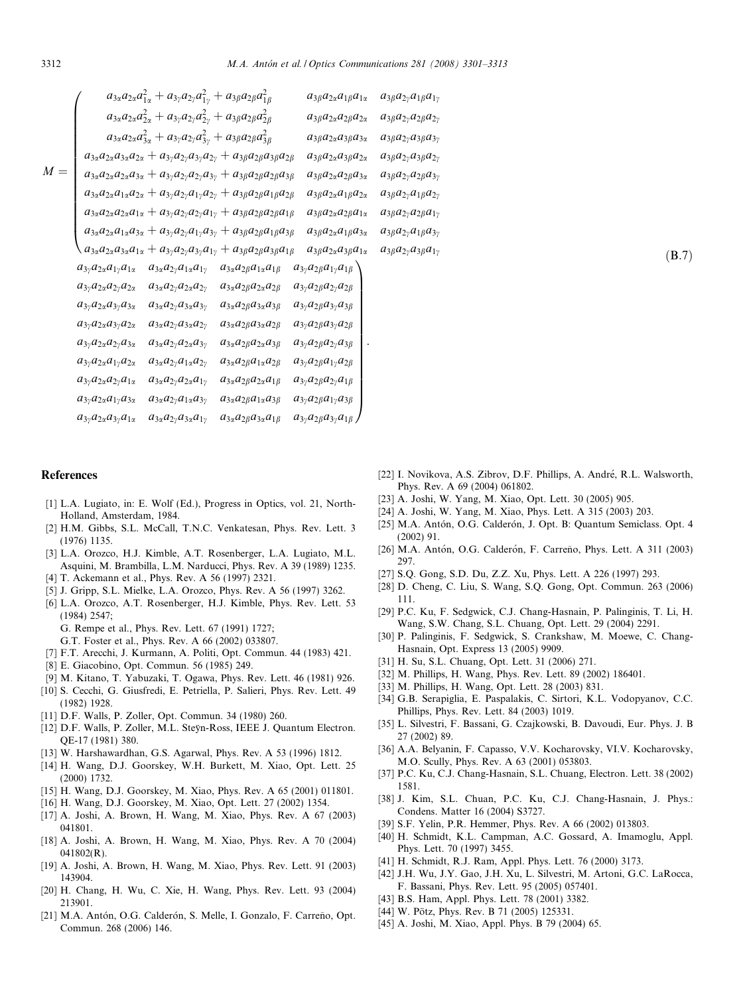<span id="page-11-0"></span>

|       |                                                | $a_{3\alpha}a_{2\alpha}a_{1\alpha}^2 + a_{3\gamma}a_{2\gamma}a_{1\gamma}^2 + a_{3\beta}a_{2\beta}a_{1\beta}^2$ |                                                                                                                                          | $a_{3\beta}a_{2\alpha}a_{1\beta}a_{1\alpha}$ | $a_{3\beta}a_{2\gamma}a_{1\beta}a_{1\gamma}$ |
|-------|------------------------------------------------|----------------------------------------------------------------------------------------------------------------|------------------------------------------------------------------------------------------------------------------------------------------|----------------------------------------------|----------------------------------------------|
|       |                                                | $a_{3\alpha}a_{2\alpha}a_{2\alpha}^2 + a_{3\gamma}a_{2\gamma}a_{2\gamma}^2 + a_{3\beta}a_{2\beta}a_{2\beta}^2$ |                                                                                                                                          | $a_{3\beta}a_{2\alpha}a_{2\beta}a_{2\alpha}$ | $a_{3\beta}a_{2\gamma}a_{2\beta}a_{2\gamma}$ |
|       |                                                | $a_{3\alpha}a_{2\alpha}a_{3\alpha}^2 + a_{3\gamma}a_{2\gamma}a_{3\gamma}^2 + a_{3\beta}a_{2\beta}a_{3\beta}^2$ |                                                                                                                                          | $a_{3\beta}a_{2\alpha}a_{3\beta}a_{3\alpha}$ | $a_{3\beta}a_{2\gamma}a_{3\beta}a_{3\gamma}$ |
|       |                                                |                                                                                                                | $a_{3\alpha}a_{2\alpha}a_{3\alpha}a_{2\alpha} + a_{3\gamma}a_{2\gamma}a_{3\gamma}a_{2\gamma} + a_{3\beta}a_{2\beta}a_{3\beta}a_{2\beta}$ | $a_{3\beta}a_{2\alpha}a_{3\beta}a_{2\alpha}$ | $a_{3\beta}a_{2\gamma}a_{3\beta}a_{2\gamma}$ |
| $M =$ |                                                |                                                                                                                | $a_{3\alpha}a_{2\alpha}a_{2\alpha}a_{3\alpha} + a_{3\gamma}a_{2\gamma}a_{2\gamma}a_{3\gamma} + a_{3\beta}a_{2\beta}a_{2\beta}a_{3\beta}$ | $a_{3\beta}a_{2\alpha}a_{2\beta}a_{3\alpha}$ | $a_{3\beta}a_{2\gamma}a_{2\beta}a_{3\gamma}$ |
|       |                                                |                                                                                                                | $a_{3\alpha}a_{2\alpha}a_{1\alpha}a_{2\alpha} + a_{3\gamma}a_{2\gamma}a_{1\gamma}a_{2\gamma} + a_{3\beta}a_{2\beta}a_{1\beta}a_{2\beta}$ | $a_{3\beta}a_{2\alpha}a_{1\beta}a_{2\alpha}$ | $a_{3\beta}a_{2\gamma}a_{1\beta}a_{2\gamma}$ |
|       |                                                |                                                                                                                | $a_{3\alpha}a_{2\alpha}a_{2\alpha}a_{1\alpha} + a_{3\gamma}a_{2\gamma}a_{2\gamma}a_{1\gamma} + a_{3\beta}a_{2\beta}a_{2\beta}a_{1\beta}$ | $a_{3\beta}a_{2\alpha}a_{2\beta}a_{1\alpha}$ | $a_{3\beta}a_{2\gamma}a_{2\beta}a_{1\gamma}$ |
|       |                                                |                                                                                                                | $a_{3\alpha}a_{2\alpha}a_{1\alpha}a_{3\alpha} + a_{3\gamma}a_{2\gamma}a_{1\gamma}a_{3\gamma} + a_{3\beta}a_{2\beta}a_{1\beta}a_{3\beta}$ | $a_{3\beta}a_{2\alpha}a_{1\beta}a_{3\alpha}$ | $a_{3\beta}a_{2\gamma}a_{1\beta}a_{3\gamma}$ |
|       |                                                |                                                                                                                | $a_{3\alpha}a_{2\alpha}a_{3\alpha}a_{1\alpha} + a_{3\gamma}a_{2\gamma}a_{3\gamma}a_{1\gamma} + a_{3\beta}a_{2\beta}a_{3\beta}a_{1\beta}$ | $a_{3\beta}a_{2\alpha}a_{3\beta}a_{1\alpha}$ | $a_{3\beta}a_{2\gamma}a_{3\beta}a_{1\gamma}$ |
|       | $a_{3\gamma}a_{2\alpha}a_{1\gamma}a_{1\alpha}$ | $a_{3\alpha}a_{2\gamma}a_{1\alpha}a_{1\gamma}$                                                                 | $a_{3\alpha}a_{2\beta}a_{1\alpha}a_{1\beta}$                                                                                             | $a_{3\gamma}a_{2\beta}a_{1\gamma}a_{1\beta}$ |                                              |
|       | $a_{3\gamma}a_{2\alpha}a_{2\gamma}a_{2\alpha}$ | $a_{3\alpha}a_{2\gamma}a_{2\alpha}a_{2\gamma}$                                                                 | $a_{3\alpha}a_{2\beta}a_{2\alpha}a_{2\beta}$                                                                                             | $a_{3\gamma}a_{2\beta}a_{2\gamma}a_{2\beta}$ |                                              |
|       | $a_{3\gamma}a_{2\alpha}a_{3\gamma}a_{3\alpha}$ | $a_{3\alpha}a_{2\gamma}a_{3\alpha}a_{3\gamma}$                                                                 | $a_{3\alpha}a_{2\beta}a_{3\alpha}a_{3\beta}$                                                                                             | $a_{3\gamma}a_{2\beta}a_{3\gamma}a_{3\beta}$ |                                              |
|       | $a_{3\gamma}a_{2\alpha}a_{3\gamma}a_{2\alpha}$ | $a_{3\alpha}a_{2\gamma}a_{3\alpha}a_{2\gamma}$                                                                 | $a_{3\alpha}a_{2\beta}a_{3\alpha}a_{2\beta}$                                                                                             | $a_{3\gamma}a_{2\beta}a_{3\gamma}a_{2\beta}$ |                                              |
|       | $a_{3\gamma}a_{2\alpha}a_{2\gamma}a_{3\alpha}$ | $a_{3\alpha}a_{2\gamma}a_{2\alpha}a_{3\gamma}$                                                                 | $a_{3\alpha}a_{2\beta}a_{2\alpha}a_{3\beta}$                                                                                             | $a_{3\gamma}a_{2\beta}a_{2\gamma}a_{3\beta}$ |                                              |
|       | $a_{3\gamma}a_{2\alpha}a_{1\gamma}a_{2\alpha}$ | $a_{3\alpha}a_{2\gamma}a_{1\alpha}a_{2\gamma}$                                                                 | $a_{3\alpha}a_{2\beta}a_{1\alpha}a_{2\beta}$                                                                                             | $a_{3\gamma}a_{2\beta}a_{1\gamma}a_{2\beta}$ |                                              |
|       | $a_{3\gamma}a_{2\alpha}a_{2\gamma}a_{1\alpha}$ | $a_{3\alpha}a_{2\gamma}a_{2\alpha}a_{1\gamma}$                                                                 | $a_{3\alpha}a_{2\beta}a_{2\alpha}a_{1\beta}$                                                                                             | $a_{3\gamma}a_{2\beta}a_{2\gamma}a_{1\beta}$ |                                              |
|       | $a_{3\gamma}a_{2\alpha}a_{1\gamma}a_{3\alpha}$ | $a_{3\alpha}a_{2\gamma}a_{1\alpha}a_{3\gamma}$                                                                 | $a_{3\alpha}a_{2\beta}a_{1\alpha}a_{3\beta}$                                                                                             | $a_{3\gamma}a_{2\beta}a_{1\gamma}a_{3\beta}$ |                                              |
|       | $a_{3\gamma}a_{2\alpha}a_{3\gamma}a_{1\alpha}$ | $a_{3\alpha}a_{2\gamma}a_{3\alpha}a_{1\gamma}$                                                                 | $a_{3\alpha}a_{2\beta}a_{3\alpha}a_{1\beta}$                                                                                             | $a_{3\gamma}a_{2\beta}a_{3\gamma}a_{1\beta}$ |                                              |

## References

- [1] L.A. Lugiato, in: E. Wolf (Ed.), Progress in Optics, vol. 21, North-Holland, Amsterdam, 1984.
- [2] H.M. Gibbs, S.L. McCall, T.N.C. Venkatesan, Phys. Rev. Lett. 3 (1976) 1135.
- [3] L.A. Orozco, H.J. Kimble, A.T. Rosenberger, L.A. Lugiato, M.L. Asquini, M. Brambilla, L.M. Narducci, Phys. Rev. A 39 (1989) 1235.
- [4] T. Ackemann et al., Phys. Rev. A 56 (1997) 2321.
- [5] J. Gripp, S.L. Mielke, L.A. Orozco, Phys. Rev. A 56 (1997) 3262.
- [6] L.A. Orozco, A.T. Rosenberger, H.J. Kimble, Phys. Rev. Lett. 53 (1984) 2547;
	- G. Rempe et al., Phys. Rev. Lett. 67 (1991) 1727;
	- G.T. Foster et al., Phys. Rev. A 66 (2002) 033807.
- [7] F.T. Arecchi, J. Kurmann, A. Politi, Opt. Commun. 44 (1983) 421.
- [8] E. Giacobino, Opt. Commun. 56 (1985) 249.
- [9] M. Kitano, T. Yabuzaki, T. Ogawa, Phys. Rev. Lett. 46 (1981) 926.
- [10] S. Cecchi, G. Giusfredi, E. Petriella, P. Salieri, Phys. Rev. Lett. 49 (1982) 1928.
- [11] D.F. Walls, P. Zoller, Opt. Commun. 34 (1980) 260.
- [12] D.F. Walls, P. Zoller, M.L. Steÿn-Ross, IEEE J. Quantum Electron. QE-17 (1981) 380.
- [13] W. Harshawardhan, G.S. Agarwal, Phys. Rev. A 53 (1996) 1812.
- [14] H. Wang, D.J. Goorskey, W.H. Burkett, M. Xiao, Opt. Lett. 25 (2000) 1732.
- [15] H. Wang, D.J. Goorskey, M. Xiao, Phys. Rev. A 65 (2001) 011801.
- [16] H. Wang, D.J. Goorskey, M. Xiao, Opt. Lett. 27 (2002) 1354.
- [17] A. Joshi, A. Brown, H. Wang, M. Xiao, Phys. Rev. A 67 (2003) 041801.
- [18] A. Joshi, A. Brown, H. Wang, M. Xiao, Phys. Rev. A 70 (2004) 041802(R).
- [19] A. Joshi, A. Brown, H. Wang, M. Xiao, Phys. Rev. Lett. 91 (2003) 143904.
- [20] H. Chang, H. Wu, C. Xie, H. Wang, Phys. Rev. Lett. 93 (2004) 213901.
- [21] M.A. Antón, O.G. Calderón, S. Melle, I. Gonzalo, F. Carreño, Opt. Commun. 268 (2006) 146.

[22] I. Novikova, A.S. Zibrov, D.F. Phillips, A. André, R.L. Walsworth, Phys. Rev. A 69 (2004) 061802.

 $(B.7)$ 

- [23] A. Joshi, W. Yang, M. Xiao, Opt. Lett. 30 (2005) 905.
- [24] A. Joshi, W. Yang, M. Xiao, Phys. Lett. A 315 (2003) 203.
- [25] M.A. Antón, O.G. Calderón, J. Opt. B: Quantum Semiclass. Opt. 4 (2002) 91.
- [26] M.A. Antón, O.G. Calderón, F. Carreño, Phys. Lett. A 311 (2003) 297.
- [27] S.O. Gong, S.D. Du, Z.Z. Xu, Phys. Lett. A 226 (1997) 293.
- [28] D. Cheng, C. Liu, S. Wang, S.Q. Gong, Opt. Commun. 263 (2006) 111.
- [29] P.C. Ku, F. Sedgwick, C.J. Chang-Hasnain, P. Palinginis, T. Li, H. Wang, S.W. Chang, S.L. Chuang, Opt. Lett. 29 (2004) 2291.
- [30] P. Palinginis, F. Sedgwick, S. Crankshaw, M. Moewe, C. Chang-Hasnain, Opt. Express 13 (2005) 9909.
- [31] H. Su, S.L. Chuang, Opt. Lett. 31 (2006) 271.
- [32] M. Phillips, H. Wang, Phys. Rev. Lett. 89 (2002) 186401.
- [33] M. Phillips, H. Wang, Opt. Lett. 28 (2003) 831.
- [34] G.B. Serapiglia, E. Paspalakis, C. Sirtori, K.L. Vodopyanov, C.C. Phillips, Phys. Rev. Lett. 84 (2003) 1019.
- [35] L. Silvestri, F. Bassani, G. Czajkowski, B. Davoudi, Eur. Phys. J. B 27 (2002) 89.
- [36] A.A. Belyanin, F. Capasso, V.V. Kocharovsky, VI.V. Kocharovsky, M.O. Scully, Phys. Rev. A 63 (2001) 053803.
- [37] P.C. Ku, C.J. Chang-Hasnain, S.L. Chuang, Electron. Lett. 38 (2002) 1581.
- [38] J. Kim, S.L. Chuan, P.C. Ku, C.J. Chang-Hasnain, J. Phys.: Condens. Matter 16 (2004) S3727.
- [39] S.F. Yelin, P.R. Hemmer, Phys. Rev. A 66 (2002) 013803.
- [40] H. Schmidt, K.L. Campman, A.C. Gossard, A. Imamoglu, Appl. Phys. Lett. 70 (1997) 3455.
- [41] H. Schmidt, R.J. Ram, Appl. Phys. Lett. 76 (2000) 3173.
- [42] J.H. Wu, J.Y. Gao, J.H. Xu, L. Silvestri, M. Artoni, G.C. LaRocca, F. Bassani, Phys. Rev. Lett. 95 (2005) 057401.
- [43] B.S. Ham, Appl. Phys. Lett. 78 (2001) 3382.
- [44] W. Pötz, Phys. Rev. B 71 (2005) 125331.
- [45] A. Joshi, M. Xiao, Appl. Phys. B 79 (2004) 65.